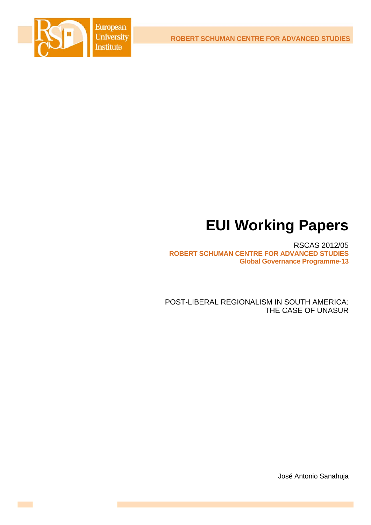**ROBERT SCHUMAN CENTRE FOR ADVANCED STUDIES**



# **EUI Working Papers**

RSCAS 2012/05 **ROBERT SCHUMAN CENTRE FOR ADVANCED STUDIES Global Governance Programme-13** 

POST-LIBERAL REGIONALISM IN SOUTH AMERICA: THE CASE OF UNASUR

José Antonio Sanahuja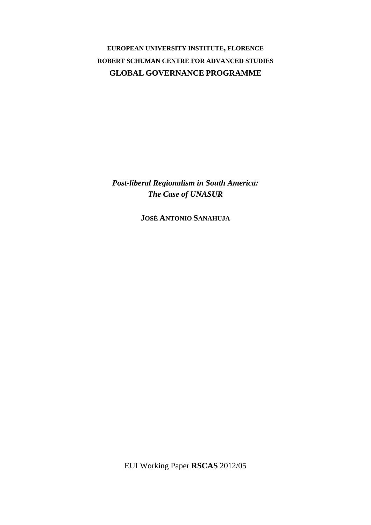# **EUROPEAN UNIVERSITY INSTITUTE, FLORENCE ROBERT SCHUMAN CENTRE FOR ADVANCED STUDIES GLOBAL GOVERNANCE PROGRAMME**

*Post-liberal Regionalism in South America: The Case of UNASUR* 

**JOSÉ ANTONIO SANAHUJA**

EUI Working Paper **RSCAS** 2012/05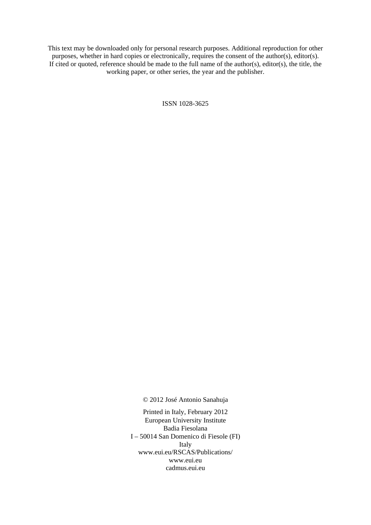This text may be downloaded only for personal research purposes. Additional reproduction for other purposes, whether in hard copies or electronically, requires the consent of the author(s), editor(s). If cited or quoted, reference should be made to the full name of the author(s), editor(s), the title, the working paper, or other series, the year and the publisher.

ISSN 1028-3625

© 2012 José Antonio Sanahuja

Printed in Italy, February 2012 European University Institute Badia Fiesolana I – 50014 San Domenico di Fiesole (FI) Italy [www.eui.eu/RSCAS/Publications/](http://www.eui.eu/RSCAS/Publications/)  [www.eui.eu](http://www.eui.eu)  cadmus.eui.eu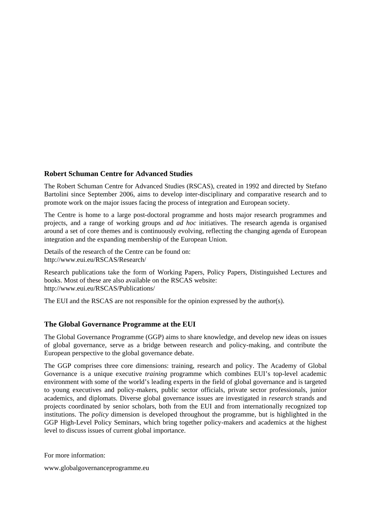# **Robert Schuman Centre for Advanced Studies**

The Robert Schuman Centre for Advanced Studies (RSCAS), created in 1992 and directed by Stefano Bartolini since September 2006, aims to develop inter-disciplinary and comparative research and to promote work on the major issues facing the process of integration and European society.

The Centre is home to a large post-doctoral programme and hosts major research programmes and projects, and a range of working groups and *ad hoc* initiatives. The research agenda is organised around a set of core themes and is continuously evolving, reflecting the changing agenda of European integration and the expanding membership of the European Union.

Details of the research of the Centre can be found on: <http://www.eui.eu/RSCAS/Research/>

Research publications take the form of Working Papers, Policy Papers, Distinguished Lectures and books. Most of these are also available on the RSCAS website: <http://www.eui.eu/RSCAS/Publications/>

The EUI and the RSCAS are not responsible for the opinion expressed by the author(s).

# **The Global Governance Programme at the EUI**

The Global Governance Programme (GGP) aims to share knowledge, and develop new ideas on issues of global governance, serve as a bridge between research and policy-making, and contribute the European perspective to the global governance debate.

The GGP comprises three core dimensions: training, research and policy. The Academy of Global Governance is a unique executive *training* programme which combines EUI's top-level academic environment with some of the world's leading experts in the field of global governance and is targeted to young executives and policy-makers, public sector officials, private sector professionals, junior academics, and diplomats. Diverse global governance issues are investigated in *research* strands and projects coordinated by senior scholars, both from the EUI and from internationally recognized top institutions. The *policy* dimension is developed throughout the programme, but is highlighted in the GGP High-Level Policy Seminars, which bring together policy-makers and academics at the highest level to discuss issues of current global importance.

For more information:

[www.globalgovernanceprogramme.eu](http://www.globalgovernanceprogramme.eu)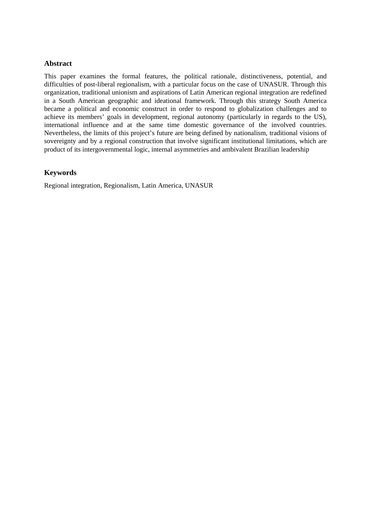# **Abstract**

This paper examines the formal features, the political rationale, distinctiveness, potential, and difficulties of post-liberal regionalism, with a particular focus on the case of UNASUR. Through this organization, traditional unionism and aspirations of Latin American regional integration are redefined in a South American geographic and ideational framework. Through this strategy South America became a political and economic construct in order to respond to globalization challenges and to achieve its members' goals in development, regional autonomy (particularly in regards to the US), international influence and at the same time domestic governance of the involved countries. Nevertheless, the limits of this project's future are being defined by nationalism, traditional visions of sovereignty and by a regional construction that involve significant institutional limitations, which are product of its intergovernmental logic, internal asymmetries and ambivalent Brazilian leadership

# **Keywords**

Regional integration, Regionalism, Latin America, UNASUR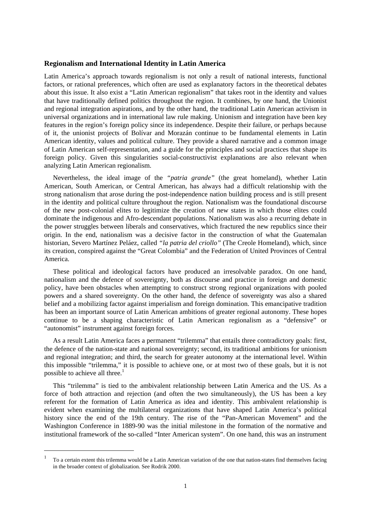## **Regionalism and International Identity in Latin America**

Latin America's approach towards regionalism is not only a result of national interests, functional factors, or rational preferences, which often are used as explanatory factors in the theoretical debates about this issue. It also exist a "Latin American regionalism" that takes root in the identity and values that have traditionally defined politics throughout the region. It combines, by one hand, the Unionist and regional integration aspirations, and by the other hand, the traditional Latin American activism in universal organizations and in international law rule making. Unionism and integration have been key features in the region's foreign policy since its independence. Despite their failure, or perhaps because of it, the unionist projects of Bolívar and Morazán continue to be fundamental elements in Latin American identity, values and political culture. They provide a shared narrative and a common image of Latin American self-representation, and a guide for the principles and social practices that shape its foreign policy. Given this singularities social-constructivist explanations are also relevant when analyzing Latin American regionalism.

Nevertheless, the ideal image of the *"patria grande"* (the great homeland), whether Latin American, South American, or Central American, has always had a difficult relationship with the strong nationalism that arose during the post-independence nation building process and is still present in the identity and political culture throughout the region. Nationalism was the foundational discourse of the new post-colonial elites to legitimize the creation of new states in which those elites could dominate the indigenous and Afro-descendant populations. Nationalism was also a recurring debate in the power struggles between liberals and conservatives, which fractured the new republics since their origin. In the end, nationalism was a decisive factor in the construction of what the Guatemalan historian, Severo Martínez Peláez, called *"la patria del criollo"* (The Creole Homeland), which, since its creation, conspired against the "Great Colombia" and the Federation of United Provinces of Central America.

These political and ideological factors have produced an irresolvable paradox. On one hand, nationalism and the defence of sovereignty, both as discourse and practice in foreign and domestic policy, have been obstacles when attempting to construct strong regional organizations with pooled powers and a shared sovereignty. On the other hand, the defence of sovereignty was also a shared belief and a mobilizing factor against imperialism and foreign domination. This emancipative tradition has been an important source of Latin American ambitions of greater regional autonomy. These hopes continue to be a shaping characteristic of Latin American regionalism as a "defensive" or "autonomist" instrument against foreign forces.

As a result Latin America faces a permanent "trilemma" that entails three contradictory goals: first, the defence of the nation-state and national sovereignty; second, its traditional ambitions for unionism and regional integration; and third, the search for greater autonomy at the international level. Within this impossible "trilemma," it is possible to achieve one, or at most two of these goals, but it is not possible to achieve all three. $<sup>1</sup>$ </sup>

This "trilemma" is tied to the ambivalent relationship between Latin America and the US. As a force of both attraction and rejection (and often the two simultaneously), the US has been a key referent for the formation of Latin America as idea and identity. This ambivalent relationship is evident when examining the multilateral organizations that have shaped Latin America's political history since the end of the 19th century. The rise of the "Pan-American Movement" and the Washington Conference in 1889-90 was the initial milestone in the formation of the normative and institutional framework of the so-called "Inter American system". On one hand, this was an instrument

-

<sup>1</sup> To a certain extent this trilemma would be a Latin American variation of the one that nation-states find themselves facing in the broader context of globalization. See Rodrik 2000.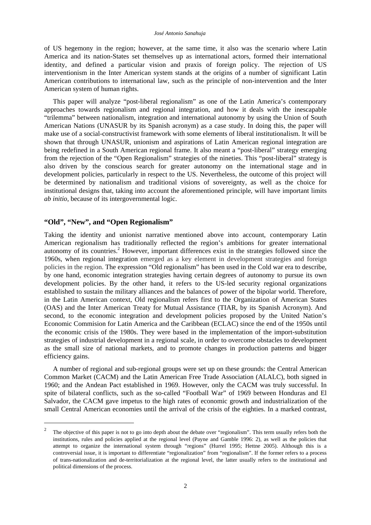of US hegemony in the region; however, at the same time, it also was the scenario where Latin America and its nation-States set themselves up as international actors, formed their international identity, and defined a particular vision and praxis of foreign policy. The rejection of US interventionism in the Inter American system stands at the origins of a number of significant Latin American contributions to international law, such as the principle of non-intervention and the Inter American system of human rights.

This paper will analyze "post-liberal regionalism" as one of the Latin America's contemporary approaches towards regionalism and regional integration, and how it deals with the inescapable "trilemma" between nationalism, integration and international autonomy by using the Union of South American Nations (UNASUR by its Spanish acronym) as a case study. In doing this, the paper will make use of a social-constructivist framework with some elements of liberal institutionalism. It will be shown that through UNASUR, unionism and aspirations of Latin American regional integration are being redefined in a South American regional frame. It also meant a "post-liberal" strategy emerging from the rejection of the "Open Regionalism" strategies of the nineties. This "post-liberal" strategy is also driven by the conscious search for greater autonomy on the international stage and in development policies, particularly in respect to the US. Nevertheless, the outcome of this project will be determined by nationalism and traditional visions of sovereignty, as well as the choice for institutional designs that, taking into account the aforementioned principle, will have important limits *ab initio*, because of its intergovernmental logic.

# **"Old", "New", and "Open Regionalism"**

1

Taking the identity and unionist narrative mentioned above into account, contemporary Latin American regionalism has traditionally reflected the region's ambitions for greater international autonomy of its countries.<sup>2</sup> However, important differences exist in the strategies followed since the 1960s, when regional integration emerged as a key element in development strategies and foreign policies in the region. The expression "Old regionalism" has been used in the Cold war era to describe, by one hand, economic integration strategies having certain degrees of autonomy to pursue its own development policies. By the other hand, it refers to the US-led security regional organizations established to sustain the military alliances and the balances of power of the bipolar world. Therefore, in the Latin American context, Old regionalism refers first to the Organization of American States (OAS) and the Inter American Treaty for Mutual Assistance (TIAR, by its Spanish Acronym). And second, to the economic integration and development policies proposed by the United Nation's Economic Commision for Latin America and the Caribbean (ECLAC) since the end of the 1950s until the economic crisis of the 1980s. They were based in the implementation of the import-substitution strategies of industrial development in a regional scale, in order to overcome obstacles to development as the small size of national markets, and to promote changes in production patterns and bigger efficiency gains.

A number of regional and sub-regional groups were set up on these grounds: the Central American Common Market (CACM) and the Latin American Free Trade Association (ALALC), both signed in 1960; and the Andean Pact established in 1969. However, only the CACM was truly successful. In spite of bilateral conflicts, such as the so-called "Football War" of 1969 between Honduras and El Salvador, the CACM gave impetus to the high rates of economic growth and industrialization of the small Central American economies until the arrival of the crisis of the eighties. In a marked contrast,

 $\overline{2}$  The objective of this paper is not to go into depth about the debate over "regionalism". This term usually refers both the institutions, rules and policies applied at the regional level (Payne and Gamble 1996: 2), as well as the policies that attempt to organize the international system through "regions" (Hurrel 1995; Hettne 2005). Although this is a controversial issue, it is important to differentiate "regionalization" from "regionalism". If the former refers to a process of trans-nationalization and de-territorialization at the regional level, the latter usually refers to the institutional and political dimensions of the process.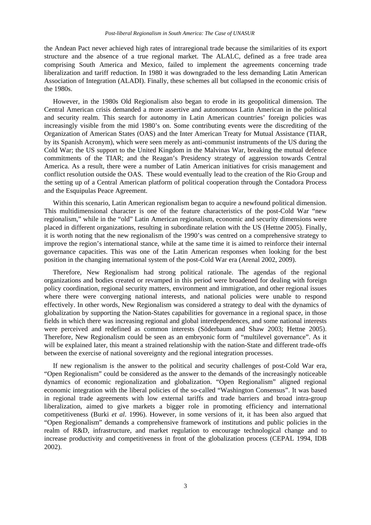the Andean Pact never achieved high rates of intraregional trade because the similarities of its export structure and the absence of a true regional market. The ALALC, defined as a free trade area comprising South America and Mexico, failed to implement the agreements concerning trade liberalization and tariff reduction. In 1980 it was downgraded to the less demanding Latin American Association of Integration (ALADI). Finally, these schemes all but collapsed in the economic crisis of the 1980s.

However, in the 1980s Old Regionalism also began to erode in its geopolitical dimension. The Central American crisis demanded a more assertive and autonomous Latin American in the political and security realm. This search for autonomy in Latin American countries' foreign policies was increasingly visible from the mid 1980's on. Some contributing events were the discrediting of the Organization of American States (OAS) and the Inter American Treaty for Mutual Assistance (TIAR, by its Spanish Acronym), which were seen merely as anti-communist instruments of the US during the Cold War; the US support to the United Kingdom in the Malvinas War, breaking the mutual defence commitments of the TIAR; and the Reagan's Presidency strategy of aggression towards Central America. As a result, there were a number of Latin American initiatives for crisis management and conflict resolution outside the OAS. These would eventually lead to the creation of the Rio Group and the setting up of a Central American platform of political cooperation through the Contadora Process and the Esquipulas Peace Agreement.

Within this scenario, Latin American regionalism began to acquire a newfound political dimension. This multidimensional character is one of the feature characteristics of the post-Cold War "new regionalism," while in the "old" Latin American regionalism, economic and security dimensions were placed in different organizations, resulting in subordinate relation with the US (Hettne 2005). Finally, it is worth noting that the new regionalism of the 1990's was centred on a comprehensive strategy to improve the region's international stance, while at the same time it is aimed to reinforce their internal governance capacities. This was one of the Latin American responses when looking for the best position in the changing international system of the post-Cold War era (Arenal 2002, 2009).

Therefore, New Regionalism had strong political rationale. The agendas of the regional organizations and bodies created or revamped in this period were broadened for dealing with foreign policy coordination, regional security matters, environment and immigration, and other regional issues where there were converging national interests, and national policies were unable to respond effectively. In other words, New Regionalism was considered a strategy to deal with the dynamics of globalization by supporting the Nation-States capabilities for governance in a regional space, in those fields in which there was increasing regional and global interdependences, and some national interests were perceived and redefined as common interests (Söderbaum and Shaw 2003; Hettne 2005). Therefore, New Regionalism could be seen as an embryonic form of "multilevel governance". As it will be explained later, this meant a strained relationship with the nation-State and different trade-offs between the exercise of national sovereignty and the regional integration processes.

If new regionalism is the answer to the political and security challenges of post-Cold War era, "Open Regionalism" could be considered as the answer to the demands of the increasingly noticeable dynamics of economic regionalization and globalization. "Open Regionalism" aligned regional economic integration with the liberal policies of the so-called "Washington Consensus". It was based in regional trade agreements with low external tariffs and trade barriers and broad intra-group liberalization, aimed to give markets a bigger role in promoting efficiency and international competitiveness (Burki *et al*. 1996). However, in some versions of it, it has been also argued that "Open Regionalism" demands a comprehensive framework of institutions and public policies in the realm of R&D, infrastructure, and market regulation to encourage technological change and to increase productivity and competitiveness in front of the globalization process (CEPAL 1994, IDB 2002).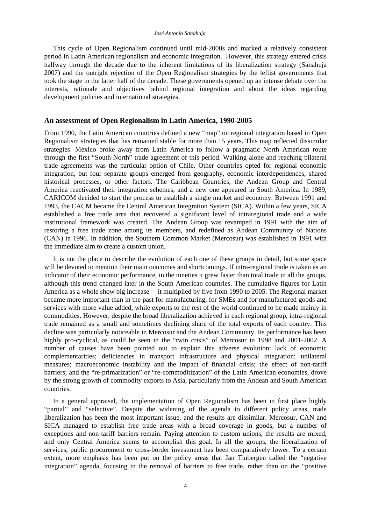This cycle of Open Regionalism continued until mid-2000s and marked a relatively consistent period in Latin American regionalism and economic integration. However, this strategy entered crisis halfway through the decade due to the inherent limitations of its liberalization strategy (Sanahuja 2007) and the outright rejection of the Open Regionalism strategies by the leftist governments that took the stage in the latter half of the decade. These governments opened up an intense debate over the interests, rationale and objectives behind regional integration and about the ideas regarding development policies and international strategies.

#### **An assessment of Open Regionalism in Latin America, 1990-2005**

From 1990, the Latin American countries defined a new "map" on regional integration based in Open Regionalism strategies that has remained stable for more than 15 years. This map reflected dissimilar strategies: México broke away from Latin America to follow a pragmatic North American route through the first "South-North" trade agreement of this period. Walking alone and reaching bilateral trade agreements was the particular option of Chile. Other countries opted for regional economic integration, but four separate groups emerged from geography, economic interdependences, shared historical processes, or other factors. The Caribbean Countries, the Andean Group and Central America reactivated their integration schemes, and a new one appeared in South America. In 1989, CARICOM decided to start the process to establish a single market and economy. Between 1991 and 1993, the CACM became the Central American Integration System (SICA). Within a few years, SICA established a free trade area that recovered a significant level of intraregional trade and a wide institutional framework was created. The Andean Group was revamped in 1991 with the aim of restoring a free trade zone among its members, and redefined as Andean Community of Nations (CAN) in 1996. In addition, the Southern Common Market (Mercosur) was established in 1991 with the immediate aim to create a custom union.

It is not the place to describe the evolution of each one of these groups in detail, but some space will be devoted to mention their main outcomes and shortcomings. If intra-regional trade is taken as an indicator of their economic performance, in the nineties it grew faster than total trade in all the groups, although this trend changed later in the South American countries. The cumulative figures for Latin America as a whole show big increase —it multiplied by five from 1990 to 2005. The Regional market became more important than in the past for manufacturing, for SMEs and for manufactured goods and services with more value added, while exports to the rest of the world continued to be made mainly in commodities. However, despite the broad liberalization achieved in each regional group, intra-regional trade remained as a small and sometimes declining share of the total exports of each country. This decline was particularly noticeable in Mercosur and the Andean Community. Its performance has been highly pro-cyclical, as could be seen in the "twin crisis" of Mercosur in 1998 and 2001-2002. A number of causes have been pointed out to explain this adverse evolution: lack of economic complementarities; deficiencies in transport infrastructure and physical integration; unilateral measures; macroeconomic instability and the impact of financial crisis; the effect of non-tariff barriers; and the "re-primarization" or "re-commoditization" of the Latin American economies, drove by the strong growth of commodity exports to Asia, particularly from the Andean and South American countries.

In a general appraisal, the implementation of Open Regionalism has been in first place highly "partial" and "selective". Despite the widening of the agenda to different policy areas, trade liberalization has been the most important issue, and the results are dissimilar. Mercosur, CAN and SICA managed to establish free trade areas with a broad coverage in goods, but a number of exceptions and non-tariff barriers remain. Paying attention to custom unions, the results are mixed, and only Central America seems to accomplish this goal. In all the groups, the liberalization of services, public procurement or cross-border investment has been comparatively lower. To a certain extent, more emphasis has been put on the policy areas that Jan Tinbergen called the "negative integration" agenda, focusing in the removal of barriers to free trade, rather than on the "positive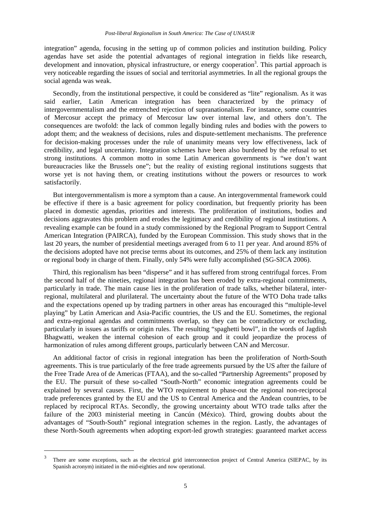integration" agenda, focusing in the setting up of common policies and institution building. Policy agendas have set aside the potential advantages of regional integration in fields like research, development and innovation, physical infrastructure, or energy cooperation<sup>3</sup>. This partial approach is very noticeable regarding the issues of social and territorial asymmetries. In all the regional groups the social agenda was weak.

Secondly, from the institutional perspective, it could be considered as "lite" regionalism. As it was said earlier, Latin American integration has been characterized by the primacy of intergovernmentalism and the entrenched rejection of supranationalism. For instance, some countries of Mercosur accept the primacy of Mercosur law over internal law, and others don't. The consequences are twofold: the lack of common legally binding rules and bodies with the powers to adopt them; and the weakness of decisions, rules and dispute-settlement mechanisms. The preference for decision-making processes under the rule of unanimity means very low effectiveness, lack of credibility, and legal uncertainty. Integration schemes have been also burdened by the refusal to set strong institutions. A common motto in some Latin American governments is "we don't want bureaucracies like the Brussels one"; but the reality of existing regional institutions suggests that worse yet is not having them, or creating institutions without the powers or resources to work satisfactorily.

But intergovernmentalism is more a symptom than a cause. An intergovernmental framework could be effective if there is a basic agreement for policy coordination, but frequently priority has been placed in domestic agendas, priorities and interests. The proliferation of institutions, bodies and decisions aggravates this problem and erodes the legitimacy and credibility of regional institutions. A revealing example can be found in a study commissioned by the Regional Program to Support Central American Integration (PAIRCA), funded by the European Commission. This study shows that in the last 20 years, the number of presidential meetings averaged from 6 to 11 per year. And around 85% of the decisions adopted have not precise terms about its outcomes, and 25% of them lack any institution or regional body in charge of them. Finally, only 54% were fully accomplished (SG-SICA 2006).

Third, this regionalism has been "disperse" and it has suffered from strong centrifugal forces. From the second half of the nineties, regional integration has been eroded by extra-regional commitments, particularly in trade. The main cause lies in the proliferation of trade talks, whether bilateral, interregional, multilateral and plurilateral. The uncertainty about the future of the WTO Doha trade talks and the expectations opened up by trading partners in other areas has encouraged this "multiple-level playing" by Latin American and Asia-Pacific countries, the US and the EU. Sometimes, the regional and extra-regional agendas and commitments overlap, so they can be contradictory or excluding, particularly in issues as tariffs or origin rules. The resulting "spaghetti bowl", in the words of Jagdish Bhagwatti, weaken the internal cohesion of each group and it could jeopardize the process of harmonization of rules among different groups, particularly between CAN and Mercosur.

An additional factor of crisis in regional integration has been the proliferation of North-South agreements. This is true particularly of the free trade agreements pursued by the US after the failure of the Free Trade Area of de Americas (FTAA), and the so-called "Partnership Agreements" proposed by the EU. The pursuit of these so-called "South-North" economic integration agreements could be explained by several causes. First, the WTO requirement to phase-out the regional non-reciprocal trade preferences granted by the EU and the US to Central America and the Andean countries, to be replaced by reciprocal RTAs. Secondly, the growing uncertainty about WTO trade talks after the failure of the 2003 ministerial meeting in Cancún (México). Third, growing doubts about the advantages of "South-South" regional integration schemes in the region. Lastly, the advantages of these North-South agreements when adopting export-led growth strategies: guaranteed market access

-

<sup>3</sup> There are some exceptions, such as the electrical grid interconnection project of Central America (SIEPAC, by its Spanish acronym) initiated in the mid-eighties and now operational.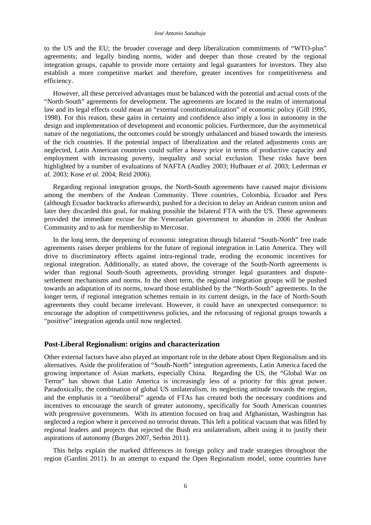to the US and the EU; the broader coverage and deep liberalization commitments of "WTO-plus" agreements; and legally binding norms, wider and deeper than those created by the regional integration groups, capable to provide more certainty and legal guarantees for investors. They also establish a more competitive market and therefore, greater incentives for competitiveness and efficiency.

However, all these perceived advantages must be balanced with the potential and actual costs of the "North-South" agreements for development. The agreements are located in the realm of international law and its legal effects could mean an "external constitutionalization" of economic policy (Gill 1995, 1998). For this reason, these gains in certainty and confidence also imply a loss in autonomy in the design and implementation of development and economic policies. Furthermore, due the asymmetrical nature of the negotiations, the outcomes could be strongly unbalanced and biased towards the interests of the rich countries. If the potential impact of liberalization and the related adjustments costs are neglected, Latin American countries could suffer a heavy price in terms of productive capacity and employment with increasing poverty, inequality and social exclusion. These risks have been highlighted by a number of evaluations of NAFTA (Audley 2003; Hufbauer *et al.* 2003; Lederman *et al.* 2003; Kose *et al.* 2004; Reid 2006).

Regarding regional integration groups, the North-South agreements have caused major divisions among the members of the Andean Community. Three countries, Colombia, Ecuador and Peru (although Ecuador backtracks afterwards), pushed for a decision to delay an Andean custom union and later they discarded this goal, for making possible the bilateral FTA with the US. These agreements provided the immediate excuse for the Venezuelan government to abandon in 2006 the Andean Community and to ask for membership to Mercosur.

In the long term, the deepening of economic integration through bilateral "South-North" free trade agreements raises deeper problems for the future of regional integration in Latin America. They will drive to discriminatory effects against intra-regional trade, eroding the economic incentives for regional integration. Additionally, as stated above, the coverage of the South-North agreements is wider than regional South-South agreements, providing stronger legal guarantees and disputesettlement mechanisms and norms. In the short term, the regional integration groups will be pushed towards an adaptation of its norms, toward those established by the "North-South" agreements. In the longer term, if regional integration schemes remain in its current design, in the face of North-South agreements they could became irrelevant. However, it could have an unexpected consequence: to encourage the adoption of competitiveness policies, and the refocusing of regional groups towards a "positive" integration agenda until now neglected.

#### **Post-Liberal Regionalism: origins and characterization**

Other external factors have also played an important role in the debate about Open Regionalism and its alternatives. Aside the proliferation of "South-North" integration agreements, Latin America faced the growing importance of Asian markets, especially China. Regarding the US, the "Global War on Terror" has shown that Latin America is increasingly less of a priority for this great power. Paradoxically, the combination of global US unilateralism, its neglecting attitude towards the region, and the emphasis in a "neoliberal" agenda of FTAs has created both the necessary conditions and incentives to encourage the search of greater autonomy, specifically for South American countries with progressive governments. With its attention focused on Iraq and Afghanistan, Washington has neglected a region where it perceived no terrorist threats. This left a political vacuum that was filled by regional leaders and projects that rejected the Bush era unilateralism, albeit using it to justify their aspirations of autonomy (Burges 2007, Serbin 2011).

This helps explain the marked differences in foreign policy and trade strategies throughout the region (Gardini 2011). In an attempt to expand the Open Regionalism model, some countries have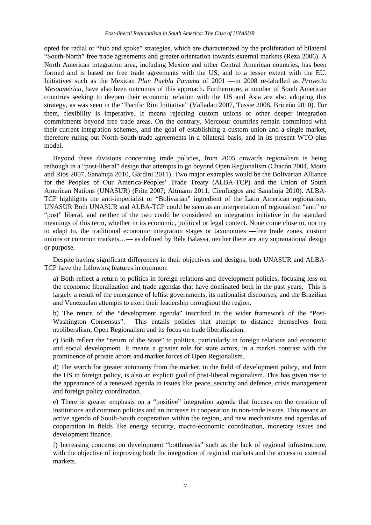opted for radial or "hub and spoke" strategies, which are characterized by the proliferation of bilateral "South-North" free trade agreements and greater orientation towards external markets (Reza 2006). A North American integration area, including Mexico and other Central American countries, has been formed and is based on free trade agreements with the US, and to a lesser extent with the EU. Initiatives such as the Mexican *Plan Puebla Panama* of 2001 —in 2008 re-labelled as *Proyecto Mesoamérica*, have also been outcomes of this approach. Furthermore, a number of South American countries seeking to deepen their economic relation with the US and Asia are also adopting this strategy, as was seen in the "Pacific Rim Initiative" (Valladao 2007, Tussie 2008, Briceño 2010). For them, flexibility is imperative. It means rejecting custom unions or other deeper integration commitments beyond free trade areas. On the contrary, Mercosur countries remain committed with their current integration schemes, and the goal of establishing a custom union and a single market, therefore ruling out North-South trade agreements in a bilateral basis, and in its present WTO-plus model.

Beyond these divisions concerning trade policies, from 2005 onwards regionalism is being rethough in a "post-liberal" design that attempts to go beyond Open Regionalism (Chacón 2004, Motta and Ríos 2007, Sanahuja 2010, Gardini 2011). Two major examples would be the Bolivarian Alliance for the Peoples of Our America-Peoples' Trade Treaty (ALBA-TCP) and the Union of South American Nations (UNASUR) (Fritz 2007; Altmann 2011; Cienfuegos and Sanahuja 2010). ALBA-TCP highlights the anti-imperialist or "Bolivarian" ingredient of the Latin American regionalism. UNASUR Both UNASUR and ALBA-TCP could be seen as an interpretation of regionalism "anti" or "post" liberal, and neither of the two could be considered an integration initiative in the standard meanings of this term, whether in its economic, political or legal content. None come close to, nor try to adapt to, the traditional economic integration stages or taxonomies —free trade zones, custom unions or common markets…— as defined by Béla Balassa, neither there are any supranational design or purpose.

Despite having significant differences in their objectives and designs, both UNASUR and ALBA-TCP have the following features in common:

a) Both reflect a return to politics in foreign relations and development policies, focusing less on the economic liberalization and trade agendas that have dominated both in the past years. This is largely a result of the emergence of leftist governments, its nationalist discourses, and the Brazilian and Venezuelan attempts to exert their leadership throughout the region.

b) The return of the "development agenda" inscribed in the wider framework of the "Post-Washington Consensus". This entails policies that attempt to distance themselves from neoliberalism, Open Regionalism and its focus on trade liberalization.

c) Both reflect the "return of the State" to politics, particularly in foreign relations and economic and social development. It means a greater role for state actors, in a market contrast with the prominence of private actors and market forces of Open Regionalism.

d) The search for greater autonomy from the market, in the field of development policy, and from the US in foreign policy, is also an explicit goal of post-liberal regionalism. This has given rise to the appearance of a renewed agenda in issues like peace, security and defence, crisis management and foreign policy coordination.

e) There is greater emphasis on a "positive" integration agenda that focuses on the creation of institutions and common policies and an increase in cooperation in non-trade issues. This means an active agenda of South-South cooperation within the region, and new mechanisms and agendas of cooperation in fields like energy security, macro-economic coordination, monetary issues and development finance.

f) Increasing concerns on development "bottlenecks" such as the lack of regional infrastructure, with the objective of improving both the integration of regional markets and the access to external markets.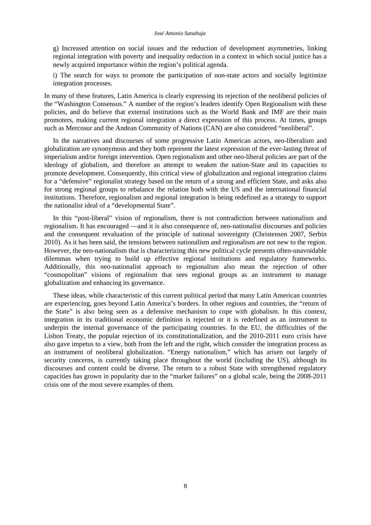g) Increased attention on social issues and the reduction of development asymmetries, linking regional integration with poverty and inequality reduction in a context in which social justice has a newly acquired importance within the region's political agenda.

i) The search for ways to promote the participation of non-state actors and socially legitimize integration processes.

In many of these features, Latin America is clearly expressing its rejection of the neoliberal policies of the "Washington Consensus." A number of the region's leaders identify Open Regionalism with these policies, and do believe that external institutions such as the World Bank and IMF are their main promoters, making current regional integration a direct expression of this process. At times, groups such as Mercosur and the Andean Community of Nations (CAN) are also considered "neoliberal".

In the narratives and discourses of some progressive Latin American actors, neo-liberalism and globalization are synonymous and they both represent the latest expression of the ever-lasting threat of imperialism and/or foreign intervention. Open regionalism and other neo-liberal policies are part of the ideology of globalism, and therefore an attempt to weaken the nation-State and its capacities to promote development. Consequently, this critical view of globalization and regional integration claims for a "defensive" regionalist strategy based on the return of a strong and efficient State, and asks also for strong regional groups to rebalance the relation both with the US and the international financial institutions. Therefore, regionalism and regional integration is being redefined as a strategy to support the nationalist ideal of a "developmental State".

In this "post-liberal" vision of regionalism, there is not contradiction between nationalism and regionalism. It has encouraged —and it is also consequence of, neo-nationalist discourses and policies and the consequent revaluation of the principle of national sovereignty (Christensen 2007, Serbin 2010). As it has been said, the tensions between nationalism and regionalism are not new to the region. However, the neo-nationalism that is characterizing this new political cycle presents often-unavoidable dilemmas when trying to build up effective regional institutions and regulatory frameworks. Additionally, this neo-nationalist approach to regionalism also mean the rejection of other "cosmopolitan" visions of regionalism that sees regional groups as an instrument to manage globalization and enhancing its governance.

These ideas, while characteristic of this current political period that many Latin American countries are experiencing, goes beyond Latin America's borders. In other regions and countries, the "return of the State" is also being seen as a defensive mechanism to cope with globalism. In this context, integration in its traditional economic definition is rejected or it is redefined as an instrument to underpin the internal governance of the participating countries. In the EU, the difficulties of the Lisbon Treaty, the popular rejection of its constitutionalization, and the 2010-2011 euro crisis have also gave impetus to a view, both from the left and the right, which consider the integration process as an instrument of neoliberal globalization. "Energy nationalism," which has arisen out largely of security concerns, is currently taking place throughout the world (including the US), although its discourses and content could be diverse. The return to a robust State with strengthened regulatory capacities has grown in popularity due to the "market failures" on a global scale, being the 2008-2011 crisis one of the most severe examples of them.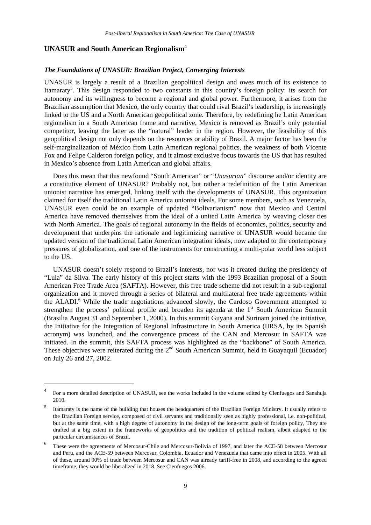## **UNASUR and South American Regionalism4**

1

#### *The Foundations of UNASUR: Brazilian Project, Converging Interests*

UNASUR is largely a result of a Brazilian geopolitical design and owes much of its existence to Itamaraty<sup>5</sup>. This design responded to two constants in this country's foreign policy: its search for autonomy and its willingness to become a regional and global power. Furthermore, it arises from the Brazilian assumption that Mexico, the only country that could rival Brazil's leadership, is increasingly linked to the US and a North American geopolitical zone. Therefore, by redefining he Latin American regionalism in a South American frame and narrative, Mexico is removed as Brazil's only potential competitor, leaving the latter as the "natural" leader in the region. However, the feasibility of this geopolitical design not only depends on the resources or ability of Brazil. A major factor has been the self-marginalization of México from Latin American regional politics, the weakness of both Vicente Fox and Felipe Calderon foreign policy, and it almost exclusive focus towards the US that has resulted in Mexico's absence from Latin American and global affairs.

Does this mean that this newfound "South American" or "*Unasurian*" discourse and/or identity are a constitutive element of UNASUR? Probably not, but rather a redefinition of the Latin American unionist narrative has emerged, linking itself with the developments of UNASUR. This organization claimed for itself the traditional Latin America unionist ideals. For some members, such as Venezuela, UNASUR even could be an example of updated "Bolivarianism" now that Mexico and Central America have removed themselves from the ideal of a united Latin America by weaving closer ties with North America. The goals of regional autonomy in the fields of economics, politics, security and development that underpins the rationale and legitimizing narrative of UNASUR would became the updated version of the traditional Latin American integration ideals, now adapted to the contemporary pressures of globalization, and one of the instruments for constructing a multi-polar world less subject to the US.

UNASUR doesn't solely respond to Brazil's interests, nor was it created during the presidency of "Lula" da Silva. The early history of this project starts with the 1993 Brazilian proposal of a South American Free Trade Area (SAFTA). However, this free trade scheme did not result in a sub-regional organization and it moved through a series of bilateral and multilateral free trade agreements within the ALADI.<sup>6</sup> While the trade negotiations advanced slowly, the Cardoso Government attempted to strengthen the process' political profile and broaden its agenda at the  $1<sup>st</sup>$  South American Summit (Brasilia August 31 and September 1, 2000). In this summit Guyana and Surinam joined the initiative, the Initiative for the Integration of Regional Infrastructure in South America (IIRSA, by its Spanish acronym) was launched, and the convergence process of the CAN and Mercosur in SAFTA was initiated. In the summit, this SAFTA process was highlighted as the "backbone" of South America. These objectives were reiterated during the  $2<sup>nd</sup>$  South American Summit, held in Guayaquil (Ecuador) on July 26 and 27, 2002.

<sup>4</sup> For a more detailed description of UNASUR, see the works included in the volume edited by Cienfuegos and Sanahuja 2010.

<sup>5</sup> Itamaraty is the name of the building that houses the headquarters of the Brazilian Foreign Ministry. It usually refers to the Brazilian Foreign service, composed of civil servants and traditionally seen as highly professional, i.e. non-political, but at the same time, with a high degree of autonomy in the design of the long-term goals of foreign policy, They are drafted at a big extent in the frameworks of geopolitics and the tradition of political realism, albeit adapted to the particular circumstances of Brazil.

<sup>6</sup> These were the agreements of Mercosur-Chile and Mercosur-Bolivia of 1997, and later the ACE-58 between Mercosur and Peru, and the ACE-59 between Mercosur, Colombia, Ecuador and Venezuela that came into effect in 2005. With all of these, around 90% of trade between Mercosur and CAN was already tariff-free in 2008, and according to the agreed timeframe, they would be liberalized in 2018. See Cienfuegos 2006.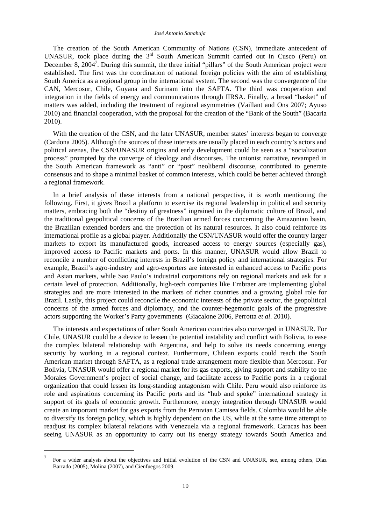The creation of the South American Community of Nations (CSN), immediate antecedent of UNASUR, took place during the  $3<sup>rd</sup>$  South American Summit carried out in Cusco (Peru) on December 8,  $2004^7$ . During this summit, the three initial "pillars" of the South American project were established. The first was the coordination of national foreign policies with the aim of establishing South America as a regional group in the international system. The second was the convergence of the CAN, Mercosur, Chile, Guyana and Surinam into the SAFTA. The third was cooperation and integration in the fields of energy and communications through IIRSA. Finally, a broad "basket" of matters was added, including the treatment of regional asymmetries (Vaillant and Ons 2007; Ayuso 2010) and financial cooperation, with the proposal for the creation of the "Bank of the South" (Bacaria 2010).

With the creation of the CSN, and the later UNASUR, member states' interests began to converge (Cardona 2005). Although the sources of these interests are usually placed in each country's actors and political arenas, the CSN/UNASUR origins and early development could be seen as a "socialization process" prompted by the converge of ideology and discourses. The unionist narrative, revamped in the South American framework as "anti" or "post" neoliberal discourse, contributed to generate consensus and to shape a minimal basket of common interests, which could be better achieved through a regional framework.

In a brief analysis of these interests from a national perspective, it is worth mentioning the following. First, it gives Brazil a platform to exercise its regional leadership in political and security matters, embracing both the "destiny of greatness" ingrained in the diplomatic culture of Brazil, and the traditional geopolitical concerns of the Brazilian armed forces concerning the Amazonian basin, the Brazilian extended borders and the protection of its natural resources. It also could reinforce its international profile as a global player. Additionally the CSN/UNASUR would offer the country larger markets to export its manufactured goods, increased access to energy sources (especially gas), improved access to Pacific markets and ports. In this manner, UNASUR would allow Brazil to reconcile a number of conflicting interests in Brazil's foreign policy and international strategies. For example, Brazil's agro-industry and agro-exporters are interested in enhanced access to Pacific ports and Asian markets, while Sao Paulo's industrial corporations rely on regional markets and ask for a certain level of protection. Additionally, high-tech companies like Embraer are implementing global strategies and are more interested in the markets of richer countries and a growing global role for Brazil. Lastly, this project could reconcile the economic interests of the private sector, the geopolitical concerns of the armed forces and diplomacy, and the counter-hegemonic goals of the progressive actors supporting the Worker's Party governments (Giacalone 2006, Perrotta *et al*. 2010).

The interests and expectations of other South American countries also converged in UNASUR. For Chile, UNASUR could be a device to lessen the potential instability and conflict with Bolivia, to ease the complex bilateral relationship with Argentina, and help to solve its needs concerning energy security by working in a regional context. Furthermore, Chilean exports could reach the South American market through SAFTA, as a regional trade arrangement more flexible than Mercosur. For Bolivia, UNASUR would offer a regional market for its gas exports, giving support and stability to the Morales Government's project of social change, and facilitate access to Pacific ports in a regional organization that could lessen its long-standing antagonism with Chile. Peru would also reinforce its role and aspirations concerning its Pacific ports and its "hub and spoke" international strategy in support of its goals of economic growth. Furthermore, energy integration through UNASUR would create an important market for gas exports from the Peruvian Camisea fields. Colombia would be able to diversify its foreign policy, which is highly dependent on the US, while at the same time attempt to readjust its complex bilateral relations with Venezuela via a regional framework. Caracas has been seeing UNASUR as an opportunity to carry out its energy strategy towards South America and

-

<sup>7</sup> For a wider analysis about the objectives and initial evolution of the CSN and UNASUR, see, among others, Díaz Barrado (2005), Molina (2007), and Cienfuegos 2009.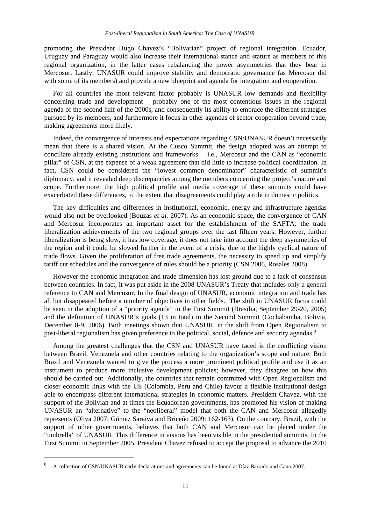promoting the President Hugo Chavez's "Bolivarian" project of regional integration. Ecuador, Uruguay and Paraguay would also increase their international stance and stature as members of this regional organization, in the latter cases rebalancing the power asymmetries that they bear in Mercosur. Lastly, UNASUR could improve stability and democratic governance (as Mercosur did with some of its members) and provide a new blueprint and agenda for integration and cooperation.

For all countries the most relevant factor probably is UNASUR low demands and flexibility concerning trade and development —probably one of the most contentious issues in the regional agenda of the second half of the 2000s, and consequently its ability to embrace the different strategies pursued by its members, and furthermore it focus in other agendas of sector cooperation beyond trade, making agreements more likely.

Indeed, the convergence of interests and expectations regarding CSN/UNASUR doesn't necessarily mean that there is a shared vision. At the Cusco Summit, the design adopted was an attempt to conciliate already existing institutions and frameworks —i.e., Mercosur and the CAN as "economic pillar" of CSN, at the expense of a weak agreement that did little to increase political coordination. In fact, CSN could be considered the "lowest common denominator" characteristic of summit's diplomacy, and it revealed deep discrepancies among the members concerning the project's nature and scope. Furthermore, the high political profile and media coverage of these summits could have exacerbated these differences, to the extent that disagreements could play a role in domestic politics.

The key difficulties and differences in institutional, economic, energy and infrastructure agendas would also not be overlooked (Bouzas *et al.* 2007). As an economic space, the convergence of CAN and Mercosur incorporates an important asset for the establishment of the SAFTA: the trade liberalization achievements of the two regional groups over the last fifteen years. However, further liberalization is being slow, it has low coverage, it does not take into account the deep asymmetries of the region and it could be slowed further in the event of a crisis, due to the highly cyclical nature of trade flows. Given the proliferation of free trade agreements, the necessity to speed up and simplify tariff cut schedules and the convergence of rules should be a priority (CSN 2006, Rosales 2008).

However the economic integration and trade dimension has lost ground due to a lack of consensus between countries. In fact, it was put aside in the 2008 UNASUR's Treaty that includes only a general reference to CAN and Mercosur. In the final design of UNASUR, economic integration and trade has all but disappeared before a number of objectives in other fields. The shift in UNASUR focus could be seen in the adoption of a "priority agenda" in the First Summit (Brasilia, September 29-20, 2005) and the definition of UNASUR's goals (13 in total) in the Second Summit (Cochabamba, Bolivia, December 8-9, 2006). Both meetings shown that UNASUR, in the shift from Open Regionalism to post-liberal regionalism has given preference to the political, social, defence and security agendas.<sup>8</sup>

Among the greatest challenges that the CSN and UNASUR have faced is the conflicting vision between Brazil, Venezuela and other countries relating to the organization's scope and nature. Both Brazil and Venezuela wanted to give the process a more prominent political profile and use it as an instrument to produce more inclusive development policies; however, they disagree on how this should be carried out. Additionally, the countries that remain committed with Open Regionalism and closer economic links with the US (Colombia, Peru and Chile) favour a flexible institutional design able to encompass different international strategies in economic matters. President Chavez, with the support of the Bolivian and at times the Ecuadorean governments, has promoted his vision of making UNASUR an "alternative" to the "neoliberal" model that both the CAN and Mercosur allegedly represents (Oliva 2007; Gómez Saraiva and Briceño 2009: 162-163). On the contrary, Brazil, with the support of other governments, believes that both CAN and Mercosur can be placed under the "umbrella" of UNASUR. This difference in visions has been visible in the presidential summits. In the First Summit in September 2005, President Chavez refused to accept the proposal to advance the 2010

1

<sup>8</sup> A collection of CSN/UNASUR early declarations and agreements can be found at Díaz Barrado and Cano 2007.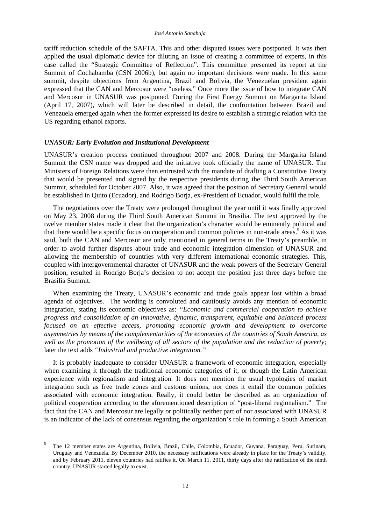tariff reduction schedule of the SAFTA. This and other disputed issues were postponed. It was then applied the usual diplomatic device for diluting an issue of creating a committee of experts, in this case called the "Strategic Committee of Reflection". This committee presented its report at the Summit of Cochabamba (CSN 2006b), but again no important decisions were made. In this same summit, despite objections from Argentina, Brazil and Bolivia, the Venezuelan president again expressed that the CAN and Mercosur were "useless." Once more the issue of how to integrate CAN and Mercosur in UNASUR was postponed. During the First Energy Summit on Margarita Island (April 17, 2007), which will later be described in detail, the confrontation between Brazil and Venezuela emerged again when the former expressed its desire to establish a strategic relation with the US regarding ethanol exports.

#### *UNASUR: Early Evolution and Institutional Development*

1

UNASUR's creation process continued throughout 2007 and 2008. During the Margarita Island Summit the CSN name was dropped and the initiative took officially the name of UNASUR. The Ministers of Foreign Relations were then entrusted with the mandate of drafting a Constitutive Treaty that would be presented and signed by the respective presidents during the Third South American Summit, scheduled for October 2007. Also, it was agreed that the position of Secretary General would be established in Quito (Ecuador), and Rodrigo Borja, ex-President of Ecuador, would fulfil the role.

The negotiations over the Treaty were prolonged throughout the year until it was finally approved on May 23, 2008 during the Third South American Summit in Brasilia. The text approved by the twelve member states made it clear that the organization's character would be eminently political and that there would be a specific focus on cooperation and common policies in non-trade areas.<sup>9</sup> As it was said, both the CAN and Mercosur are only mentioned in general terms in the Treaty's preamble, in order to avoid further disputes about trade and economic integration dimension of UNASUR and allowing the membership of countries with very different international economic strategies. This, coupled with intergovernmental character of UNASUR and the weak powers of the Secretary General position, resulted in Rodrigo Borja's decision to not accept the position just three days before the Brasilia Summit.

When examining the Treaty, UNASUR's economic and trade goals appear lost within a broad agenda of objectives. The wording is convoluted and cautiously avoids any mention of economic integration, stating its economic objectives as: *"Economic and commercial cooperation to achieve progress and consolidation of an innovative, dynamic, transparent, equitable and balanced process focused on an effective access, promoting economic growth and development to overcome asymmetries by means of the complementarities of the economies of the countries of South America, as*  well as the promotion of the wellbeing of all sectors of the population and the reduction of poverty; later the text adds *"Industrial and productive integration."* 

It is probably inadequate to consider UNASUR a framework of economic integration, especially when examining it through the traditional economic categories of it, or though the Latin American experience with regionalism and integration. It does not mention the usual typologies of market integration such as free trade zones and customs unions, nor does it entail the common policies associated with economic integration. Really, it could better be described as an organization of political cooperation according to the aforementioned description of "post-liberal regionalism." The fact that the CAN and Mercosur are legally or politically neither part of nor associated with UNASUR is an indicator of the lack of consensus regarding the organization's role in forming a South American

<sup>9</sup> The 12 member states are Argentina, Bolivia, Brazil, Chile, Colombia, Ecuador, Guyana, Paraguay, Peru, Surinam, Uruguay and Venezuela. By December 2010, the necessary ratifications were already in place for the Treaty's validity, and by February 2011, eleven countries had ratifies it. On March 11, 2011, thirty days after the ratification of the ninth country, UNASUR started legally to exist.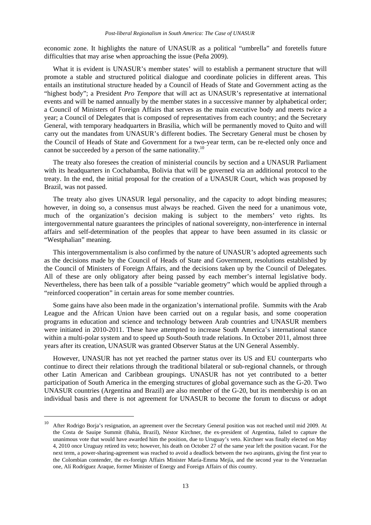economic zone. It highlights the nature of UNASUR as a political "umbrella" and foretells future difficulties that may arise when approaching the issue (Peña 2009).

What it is evident is UNASUR's member states' will to establish a permanent structure that will promote a stable and structured political dialogue and coordinate policies in different areas. This entails an institutional structure headed by a Council of Heads of State and Government acting as the "highest body"; a President *Pro Tempore* that will act as UNASUR's representative at international events and will be named annually by the member states in a successive manner by alphabetical order; a Council of Ministers of Foreign Affairs that serves as the main executive body and meets twice a year; a Council of Delegates that is composed of representatives from each country; and the Secretary General, with temporary headquarters in Brasilia, which will be permanently moved to Quito and will carry out the mandates from UNASUR's different bodies. The Secretary General must be chosen by the Council of Heads of State and Government for a two-year term, can be re-elected only once and cannot be succeeded by a person of the same nationality.<sup>10</sup>

The treaty also foresees the creation of ministerial councils by section and a UNASUR Parliament with its headquarters in Cochabamba, Bolivia that will be governed via an additional protocol to the treaty. In the end, the initial proposal for the creation of a UNASUR Court, which was proposed by Brazil, was not passed.

The treaty also gives UNASUR legal personality, and the capacity to adopt binding measures; however, in doing so, a consensus must always be reached. Given the need for a unanimous vote, much of the organization's decision making is subject to the members' veto rights. Its intergovernmental nature guarantees the principles of national sovereignty, non-interference in internal affairs and self-determination of the peoples that appear to have been assumed in its classic or "Westphalian" meaning.

This intergovernmentalism is also confirmed by the nature of UNASUR's adopted agreements such as the decisions made by the Council of Heads of State and Government, resolutions established by the Council of Ministers of Foreign Affairs, and the decisions taken up by the Council of Delegates. All of these are only obligatory after being passed by each member's internal legislative body. Nevertheless, there has been talk of a possible "variable geometry" which would be applied through a "reinforced cooperation" in certain areas for some member countries.

Some gains have also been made in the organization's international profile. Summits with the Arab League and the African Union have been carried out on a regular basis, and some cooperation programs in education and science and technology between Arab countries and UNASUR members were initiated in 2010-2011. These have attempted to increase South America's international stance within a multi-polar system and to speed up South-South trade relations. In October 2011, almost three years after its creation, UNASUR was granted Observer Status at the UN General Assembly.

However, UNASUR has not yet reached the partner status over its US and EU counterparts who continue to direct their relations through the traditional bilateral or sub-regional channels, or through other Latin American and Caribbean groupings. UNASUR has not yet contributed to a better participation of South America in the emerging structures of global governance such as the G-20. Two UNASUR countries (Argentina and Brazil) are also member of the G-20, but its membership is on an individual basis and there is not agreement for UNASUR to become the forum to discuss or adopt

1

<sup>10</sup> After Rodrigo Borja's resignation, an agreement over the Secretary General position was not reached until mid 2009. At the Costa de Sauipe Summit (Bahía, Brazil), Néstor Kirchner, the ex-president of Argentina, failed to capture the unanimous vote that would have awarded him the position, due to Uruguay's veto. Kirchner was finally elected on May 4, 2010 once Uruguay retired its veto; however, his death on October 27 of the same year left the position vacant. For the next term, a power-sharing-agreement was reached to avoid a deadlock between the two aspirants, giving the first year to the Colombian contender, the ex-foreign Affairs Minister María-Emma Mejía, and the second year to the Venezuelan one, Alí Rodríguez Araque, former Minister of Energy and Foreign Affairs of this country.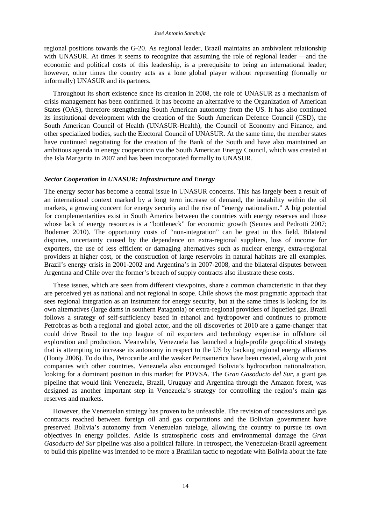regional positions towards the G-20. As regional leader, Brazil maintains an ambivalent relationship with UNASUR. At times it seems to recognize that assuming the role of regional leader —and the economic and political costs of this leadership, is a prerequisite to being an international leader; however, other times the country acts as a lone global player without representing (formally or informally) UNASUR and its partners.

Throughout its short existence since its creation in 2008, the role of UNASUR as a mechanism of crisis management has been confirmed. It has become an alternative to the Organization of American States (OAS), therefore strengthening South American autonomy from the US. It has also continued its institutional development with the creation of the South American Defence Council (CSD), the South American Council of Health (UNASUR-Health), the Council of Economy and Finance, and other specialized bodies, such the Electoral Council of UNASUR. At the same time, the member states have continued negotiating for the creation of the Bank of the South and have also maintained an ambitious agenda in energy cooperation via the South American Energy Council, which was created at the Isla Margarita in 2007 and has been incorporated formally to UNASUR.

#### *Sector Cooperation in UNASUR: Infrastructure and Energy*

The energy sector has become a central issue in UNASUR concerns. This has largely been a result of an international context marked by a long term increase of demand, the instability within the oil markets, a growing concern for energy security and the rise of "energy nationalism." A big potential for complementarities exist in South America between the countries with energy reserves and those whose lack of energy resources is a "bottleneck" for economic growth (Sennes and Pedrotti 2007; Bodemer 2010). The opportunity costs of "non-integration" can be great in this field. Bilateral disputes, uncertainty caused by the dependence on extra-regional suppliers, loss of income for exporters, the use of less efficient or damaging alternatives such as nuclear energy, extra-regional providers at higher cost, or the construction of large reservoirs in natural habitats are all examples. Brazil's energy crisis in 2001-2002 and Argentina's in 2007-2008, and the bilateral disputes between Argentina and Chile over the former's breach of supply contracts also illustrate these costs.

These issues, which are seen from different viewpoints, share a common characteristic in that they are perceived yet as national and not regional in scope. Chile shows the most pragmatic approach that sees regional integration as an instrument for energy security, but at the same times is looking for its own alternatives (large dams in southern Patagonia) or extra-regional providers of liquefied gas. Brazil follows a strategy of self-sufficiency based in ethanol and hydropower and continues to promote Petrobras as both a regional and global actor, and the oil discoveries of 2010 are a game-changer that could drive Brazil to the top league of oil exporters and technology expertise in offshore oil exploration and production. Meanwhile, Venezuela has launched a high-profile geopolitical strategy that is attempting to increase its autonomy in respect to the US by backing regional energy alliances (Honty 2006). To do this, Petrocaribe and the weaker Petroamerica have been created, along with joint companies with other countries. Venezuela also encouraged Bolivia's hydrocarbon nationalization, looking for a dominant position in this market for PDVSA. The *Gran Gasoducto del Sur*, a giant gas pipeline that would link Venezuela, Brazil, Uruguay and Argentina through the Amazon forest, was designed as another important step in Venezuela's strategy for controlling the region's main gas reserves and markets.

However, the Venezuelan strategy has proven to be unfeasible. The revision of concessions and gas contracts reached between foreign oil and gas corporations and the Bolivian government have preserved Bolivia's autonomy from Venezuelan tutelage, allowing the country to pursue its own objectives in energy policies. Aside is stratospheric costs and environmental damage the *Gran Gasoducto del Sur* pipeline was also a political failure. In retrospect, the Venezuelan-Brazil agreement to build this pipeline was intended to be more a Brazilian tactic to negotiate with Bolivia about the fate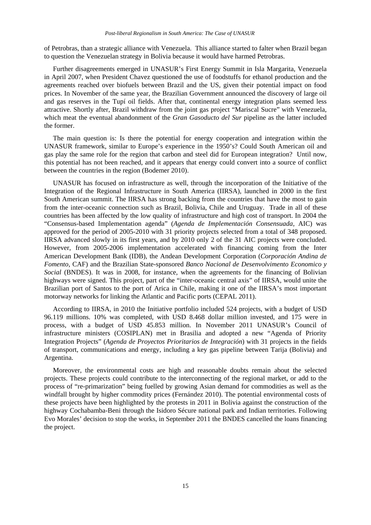of Petrobras, than a strategic alliance with Venezuela. This alliance started to falter when Brazil began to question the Venezuelan strategy in Bolivia because it would have harmed Petrobras.

Further disagreements emerged in UNASUR's First Energy Summit in Isla Margarita, Venezuela in April 2007, when President Chavez questioned the use of foodstuffs for ethanol production and the agreements reached over biofuels between Brazil and the US, given their potential impact on food prices. In November of the same year, the Brazilian Government announced the discovery of large oil and gas reserves in the Tupí oil fields. After that, continental energy integration plans seemed less attractive. Shortly after, Brazil withdraw from the joint gas project "Mariscal Sucre" with Venezuela, which meat the eventual abandonment of the *Gran Gasoducto del Sur* pipeline as the latter included the former.

The main question is: Is there the potential for energy cooperation and integration within the UNASUR framework, similar to Europe's experience in the 1950's? Could South American oil and gas play the same role for the region that carbon and steel did for European integration? Until now, this potential has not been reached, and it appears that energy could convert into a source of conflict between the countries in the region (Bodemer 2010).

UNASUR has focused on infrastructure as well, through the incorporation of the Initiative of the Integration of the Regional Infrastructure in South America (IIRSA), launched in 2000 in the first South American summit. The IIRSA has strong backing from the countries that have the most to gain from the inter-oceanic connection such as Brazil, Bolivia, Chile and Uruguay. Trade in all of these countries has been affected by the low quality of infrastructure and high cost of transport. In 2004 the "Consensus-based Implementation agenda" (*Agenda de Implementación Consensuada,* AIC) was approved for the period of 2005-2010 with 31 priority projects selected from a total of 348 proposed. IIRSA advanced slowly in its first years, and by 2010 only 2 of the 31 AIC projects were concluded. However, from 2005-2006 implementation accelerated with financing coming from the Inter American Development Bank (IDB), the Andean Development Corporation (*Corporación Andina de Fomento*, CAF) and the Brazilian State-sponsored *Banco Nacional de Desenvolvimento Economico y Social* (BNDES). It was in 2008, for instance, when the agreements for the financing of Bolivian highways were signed. This project, part of the "inter-oceanic central axis" of IIRSA, would unite the Brazilian port of Santos to the port of Arica in Chile, making it one of the IIRSA's most important motorway networks for linking the Atlantic and Pacific ports (CEPAL 2011).

According to IIRSA, in 2010 the Initiative portfolio included 524 projects, with a budget of USD 96.119 millions. 10% was completed, with USD 8.468 dollar million invested, and 175 were in process, with a budget of USD 45.853 million. In November 2011 UNASUR's Council of infrastructure ministers (COSIPLAN) met in Brasilia and adopted a new "Agenda of Priority Integration Projects" (*Agenda de Proyectos Prioritarios de Integración*) with 31 projects in the fields of transport, communications and energy, including a key gas pipeline between Tarija (Bolivia) and Argentina.

Moreover, the environmental costs are high and reasonable doubts remain about the selected projects. These projects could contribute to the interconnecting of the regional market, or add to the process of "re-primarization" being fuelled by growing Asian demand for commodities as well as the windfall brought by higher commodity prices (Fernández 2010). The potential environmental costs of these projects have been highlighted by the protests in 2011 in Bolivia against the construction of the highway Cochabamba-Beni through the Isidoro Sécure national park and Indian territories. Following Evo Morales' decision to stop the works, in September 2011 the BNDES cancelled the loans financing the project.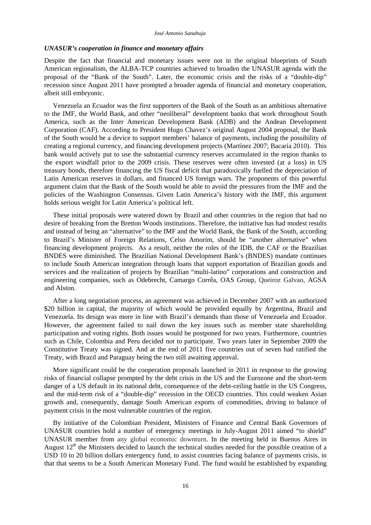#### *UNASUR's cooperation in finance and monetary affairs*

Despite the fact that financial and monetary issues were not in the original blueprints of South American regionalism, the ALBA-TCP countries achieved to broaden the UNASUR agenda with the proposal of the "Bank of the South". Later, the economic crisis and the risks of a "double-dip" recession since August 2011 have prompted a broader agenda of financial and monetary cooperation, albeit still embryonic.

Venezuela an Ecuador was the first supporters of the Bank of the South as an ambitious alternative to the IMF, the World Bank, and other "neoliberal" development banks that work throughout South America, such as the Inter American Development Bank (ADB) and the Andean Development Corporation (CAF). According to President Hugo Chavez's original August 2004 proposal, the Bank of the South would be a device to support members' balance of payments, including the possibility of creating a regional currency, and financing development projects (Martínez 2007; Bacaria 2010). This bank would actively put to use the substantial currency reserves accumulated in the region thanks to the export windfall prior to the 2009 crisis. These reserves were often invested (at a loss) in US treasury bonds, therefore financing the US fiscal deficit that paradoxically fuelled the depreciation of Latin American reserves in dollars, and financed US foreign wars. The proponents of this powerful argument claim that the Bank of the South would be able to avoid the pressures from the IMF and the policies of the Washington Consensus. Given Latin America's history with the IMF, this argument holds serious weight for Latin America's political left.

These initial proposals were watered down by Brazil and other countries in the region that had no desire of breaking from the Bretton Woods institutions. Therefore, the initiative has had modest results and instead of being an "alternative" to the IMF and the World Bank, the Bank of the South, according to Brazil's Minister of Foreign Relations, Celso Amorím, should be "another alternative" when financing development projects. As a result, neither the roles of the IDB, the CAF or the Brazilian BNDES were diminished. The Brazilian National Development Bank's (BNDES) mandate continues to include South American integration through loans that support exportation of Brazilian goods and services and the realization of projects by Brazilian "multi-latino" corporations and construction and engineering companies, such as Odebrecht, Camargo Corrêa, OAS Group, Queiroz Galvao, AGSA and Alston.

After a long negotiation process, an agreement was achieved in December 2007 with an authorized \$20 billion in capital, the majority of which would be provided equally by Argentina, Brazil and Venezuela. Its design was more in line with Brazil's demands than those of Venezuela and Ecuador. However, the agreement failed to nail down the key issues such as member state shareholding participation and voting rights. Both issues would be postponed for two years. Furthermore, countries such as Chile, Colombia and Peru decided not to participate. Two years later in September 2009 the Constitutive Treaty was signed. And at the end of 2011 five countries out of seven had ratified the Treaty, with Brazil and Paraguay being the two still awaiting approval.

More significant could be the cooperation proposals launched in 2011 in response to the growing risks of financial collapse prompted by the debt crisis in the US and the Eurozone and the short-term danger of a US default in its national debt, consequence of the debt-ceiling battle in the US Congress, and the mid-term risk of a "double-dip" recession in the OECD countries. This could weaken Asian growth and, consequently, damage South American exports of commodities, driving to balance of payment crisis in the most vulnerable countries of the region.

By initiative of the Colombian President, Ministers of Finance and Central Bank Governors of UNASUR countries hold a number of emergency meetings in July-August 2011 aimed "to shield" UNASUR member from any global economic downturn. In the meeting held in Buenos Aires in August  $12<sup>th</sup>$  the Ministers decided to launch the technical studies needed for the possible creation of a USD 10 to 20 billion dollars emergency fund, to assist countries facing balance of payments crisis, in that that seems to be a South American Monetary Fund. The fund would be established by expanding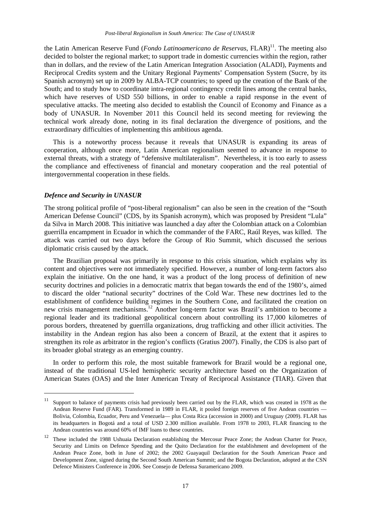the Latin American Reserve Fund (*Fondo Latinoamericano de Reservas*, FLAR)<sup>11</sup>. The meeting also decided to bolster the regional market; to support trade in domestic currencies within the region, rather than in dollars, and the review of the Latin American Integration Association (ALADI), Payments and Reciprocal Credits system and the Unitary Regional Payments' Compensation System (Sucre, by its Spanish acronym) set up in 2009 by ALBA-TCP countries; to speed up the creation of the Bank of the South; and to study how to coordinate intra-regional contingency credit lines among the central banks, which have reserves of USD 550 billions, in order to enable a rapid response in the event of speculative attacks. The meeting also decided to establish the Council of Economy and Finance as a body of UNASUR. In November 2011 this Council held its second meeting for reviewing the technical work already done, noting in its final declaration the divergence of positions, and the extraordinary difficulties of implementing this ambitious agenda.

This is a noteworthy process because it reveals that UNASUR is expanding its areas of cooperation, although once more, Latin American regionalism seemed to advance in response to external threats, with a strategy of "defensive multilateralism". Nevertheless, it is too early to assess the compliance and effectiveness of financial and monetary cooperation and the real potential of intergovernmental cooperation in these fields.

#### *Defence and Security in UNASUR*

1

The strong political profile of "post-liberal regionalism" can also be seen in the creation of the "South American Defense Council" (CDS, by its Spanish acronym), which was proposed by President "Lula" da Silva in March 2008. This initiative was launched a day after the Colombian attack on a Colombian guerrilla encampment in Ecuador in which the commander of the FARC, Raúl Reyes, was killed. The attack was carried out two days before the Group of Rio Summit, which discussed the serious diplomatic crisis caused by the attack.

The Brazilian proposal was primarily in response to this crisis situation, which explains why its content and objectives were not immediately specified. However, a number of long-term factors also explain the initiative. On the one hand, it was a product of the long process of definition of new security doctrines and policies in a democratic matrix that began towards the end of the 1980's, aimed to discard the older "national security" doctrines of the Cold War. These new doctrines led to the establishment of confidence building regimes in the Southern Cone, and facilitated the creation on new crisis management mechanisms.12 Another long-term factor was Brazil's ambition to become a regional leader and its traditional geopolitical concern about controlling its 17,000 kilometres of porous borders, threatened by guerrilla organizations, drug trafficking and other illicit activities. The instability in the Andean region has also been a concern of Brazil, at the extent that it aspires to strengthen its role as arbitrator in the region's conflicts (Gratius 2007). Finally, the CDS is also part of its broader global strategy as an emerging country.

In order to perform this role, the most suitable framework for Brazil would be a regional one, instead of the traditional US-led hemispheric security architecture based on the Organization of American States (OAS) and the Inter American Treaty of Reciprocal Assistance (TIAR). Given that

 $11$  Support to balance of payments crisis had previously been carried out by the FLAR, which was created in 1978 as the Andean Reserve Fund (FAR). Transformed in 1989 in FLAR, it pooled foreign reserves of five Andean countries — Bolivia, Colombia, Ecuador, Peru and Venezuela— plus Costa Rica (accession in 2000) and Uruguay (2009). FLAR has its headquarters in Bogotá and a total of USD 2.300 million available. From 1978 to 2003, FLAR financing to the Andean countries was around 60% of IMF loans to these countries.

<sup>&</sup>lt;sup>12</sup> These included the 1988 Ushuaia Declaration establishing the Mercosur Peace Zone; the Andean Charter for Peace, Security and Limits on Defence Spending and the Quito Declaration for the establishment and development of the Andean Peace Zone, both in June of 2002; the 2002 Guayaquil Declaration for the South American Peace and Development Zone, signed during the Second South American Summit; and the Bogota Declaration, adopted at the CSN Defence Ministers Conference in 2006. See Consejo de Defensa Suramericano 2009.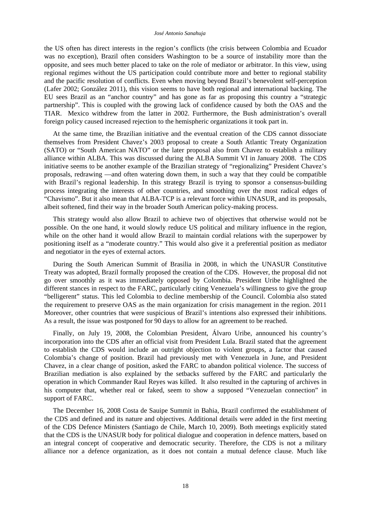#### *José Antonio Sanahuja*

the US often has direct interests in the region's conflicts (the crisis between Colombia and Ecuador was no exception), Brazil often considers Washington to be a source of instability more than the opposite, and sees much better placed to take on the role of mediator or arbitrator. In this view, using regional regimes without the US participation could contribute more and better to regional stability and the pacific resolution of conflicts. Even when moving beyond Brazil's benevolent self-perception (Lafer 2002; González 2011), this vision seems to have both regional and international backing. The EU sees Brazil as an "anchor country" and has gone as far as proposing this country a "strategic partnership". This is coupled with the growing lack of confidence caused by both the OAS and the TIAR. Mexico withdrew from the latter in 2002. Furthermore, the Bush administration's overall foreign policy caused increased rejection to the hemispheric organizations it took part in.

At the same time, the Brazilian initiative and the eventual creation of the CDS cannot dissociate themselves from President Chavez's 2003 proposal to create a South Atlantic Treaty Organization (SATO) or "South American NATO" or the later proposal also from Chavez to establish a military alliance within ALBA. This was discussed during the ALBA Summit VI in January 2008. The CDS initiative seems to be another example of the Brazilian strategy of "regionalizing" President Chavez's proposals, redrawing —and often watering down them, in such a way that they could be compatible with Brazil's regional leadership. In this strategy Brazil is trying to sponsor a consensus-building process integrating the interests of other countries, and smoothing over the most radical edges of "Chavismo". But it also mean that ALBA-TCP is a relevant force within UNASUR, and its proposals, albeit softened, find their way in the broader South American policy-making process.

This strategy would also allow Brazil to achieve two of objectives that otherwise would not be possible. On the one hand, it would slowly reduce US political and military influence in the region, while on the other hand it would allow Brazil to maintain cordial relations with the superpower by positioning itself as a "moderate country." This would also give it a preferential position as mediator and negotiator in the eyes of external actors.

During the South American Summit of Brasilia in 2008, in which the UNASUR Constitutive Treaty was adopted, Brazil formally proposed the creation of the CDS. However, the proposal did not go over smoothly as it was immediately opposed by Colombia. President Uribe highlighted the different stances in respect to the FARC, particularly citing Venezuela's willingness to give the group "belligerent" status. This led Colombia to decline membership of the Council. Colombia also stated the requirement to preserve OAS as the main organization for crisis management in the region. 2011 Moreover, other countries that were suspicious of Brazil's intentions also expressed their inhibitions. As a result, the issue was postponed for 90 days to allow for an agreement to be reached.

Finally, on July 19, 2008, the Colombian President, Álvaro Uribe, announced his country's incorporation into the CDS after an official visit from President Lula. Brazil stated that the agreement to establish the CDS would include an outright objection to violent groups, a factor that caused Colombia's change of position. Brazil had previously met with Venezuela in June, and President Chavez, in a clear change of position, asked the FARC to abandon political violence. The success of Brazilian mediation is also explained by the setbacks suffered by the FARC and particularly the operation in which Commander Raul Reyes was killed. It also resulted in the capturing of archives in his computer that, whether real or faked, seem to show a supposed "Venezuelan connection" in support of FARC.

The December 16, 2008 Costa de Sauipe Summit in Bahia, Brazil confirmed the establishment of the CDS and defined and its nature and objectives. Additional details were added in the first meeting of the CDS Defence Ministers (Santiago de Chile, March 10, 2009). Both meetings explicitly stated that the CDS is the UNASUR body for political dialogue and cooperation in defence matters, based on an integral concept of cooperative and democratic security. Therefore, the CDS is not a military alliance nor a defence organization, as it does not contain a mutual defence clause. Much like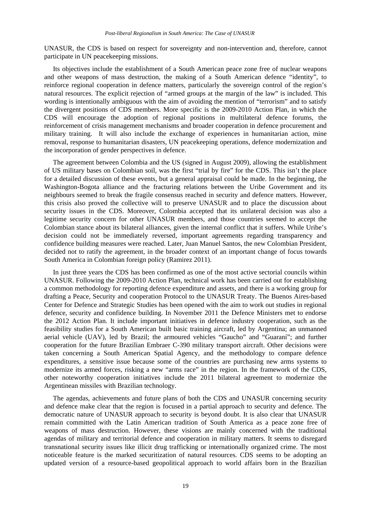UNASUR, the CDS is based on respect for sovereignty and non-intervention and, therefore, cannot participate in UN peacekeeping missions.

Its objectives include the establishment of a South American peace zone free of nuclear weapons and other weapons of mass destruction, the making of a South American defence "identity", to reinforce regional cooperation in defence matters, particularly the sovereign control of the region's natural resources. The explicit rejection of "armed groups at the margin of the law" is included. This wording is intentionally ambiguous with the aim of avoiding the mention of "terrorism" and to satisfy the divergent positions of CDS members. More specific is the 2009-2010 Action Plan, in which the CDS will encourage the adoption of regional positions in multilateral defence forums, the reinforcement of crisis management mechanisms and broader cooperation in defence procurement and military training. It will also include the exchange of experiences in humanitarian action, mine removal, response to humanitarian disasters, UN peacekeeping operations, defence modernization and the incorporation of gender perspectives in defence.

The agreement between Colombia and the US (signed in August 2009), allowing the establishment of US military bases on Colombian soil, was the first "trial by fire" for the CDS. This isn't the place for a detailed discussion of these events, but a general appraisal could be made. In the beginning, the Washington-Bogota alliance and the fracturing relations between the Uribe Government and its neighbours seemed to break the fragile consensus reached in security and defence matters. However, this crisis also proved the collective will to preserve UNASUR and to place the discussion about security issues in the CDS. Moreover, Colombia accepted that its unilateral decision was also a legitime security concern for other UNASUR members, and those countries seemed to accept the Colombian stance about its bilateral alliances, given the internal conflict that it suffers. While Uribe's decision could not be immediately reversed, important agreements regarding transparency and confidence building measures were reached. Later, Juan Manuel Santos, the new Colombian President, decided not to ratify the agreement, in the broader context of an important change of focus towards South America in Colombian foreign policy (Ramirez 2011).

In just three years the CDS has been confirmed as one of the most active sectorial councils within UNASUR. Following the 2009-2010 Action Plan, technical work has been carried out for establishing a common methodology for reporting defence expenditure and assets, and there is a working group for drafting a Peace, Security and cooperation Protocol to the UNASUR Treaty. The Buenos Aires-based Center for Defence and Strategic Studies has been opened with the aim to work out studies in regional defence, security and confidence building. In November 2011 the Defence Ministers met to endorse the 2012 Action Plan. It include important initiatives in defence industry cooperation, such as the feasibility studies for a South American built basic training aircraft, led by Argentina; an unmanned aerial vehicle (UAV), led by Brazil; the armoured vehicles "Gaucho" and "Guaraní"; and further cooperation for the future Brazilian Embraer C-390 military transport aircraft. Other decisions were taken concerning a South American Spatial Agency, and the methodology to compare defence expenditures, a sensitive issue because some of the countries are purchasing new arms systems to modernize its armed forces, risking a new "arms race" in the region. In the framework of the CDS, other noteworthy cooperation initiatives include the 2011 bilateral agreement to modernize the Argentinean missiles with Brazilian technology.

The agendas, achievements and future plans of both the CDS and UNASUR concerning security and defence make clear that the region is focused in a partial approach to security and defence. The democratic nature of UNASUR approach to security is beyond doubt. It is also clear that UNASUR remain committed with the Latin American tradition of South America as a peace zone free of weapons of mass destruction. However, these visions are mainly concerned with the traditional agendas of military and territorial defence and cooperation in military matters. It seems to disregard transnational security issues like illicit drug trafficking or internationally organized crime. The most noticeable feature is the marked securitization of natural resources. CDS seems to be adopting an updated version of a resource-based geopolitical approach to world affairs born in the Brazilian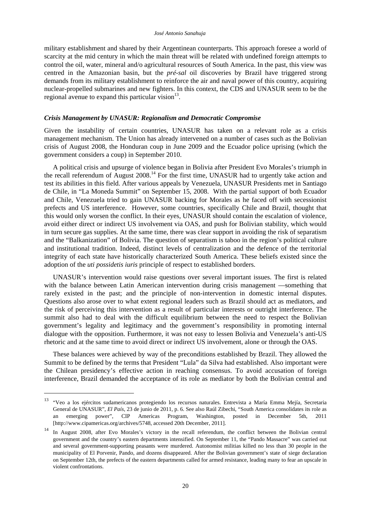military establishment and shared by their Argentinean counterparts. This approach foresee a world of scarcity at the mid century in which the main threat will be related with undefined foreign attempts to control the oil, water, mineral and/o agricultural resources of South America. In the past, this view was centred in the Amazonian basin, but the *pré-sal* oil discoveries by Brazil have triggered strong demands from its military establishment to reinforce the air and naval power of this country, acquiring nuclear-propelled submarines and new fighters. In this context, the CDS and UNASUR seem to be the regional avenue to expand this particular vision $^{13}$ .

#### *Crisis Management by UNASUR: Regionalism and Democratic Compromise*

Given the instability of certain countries, UNASUR has taken on a relevant role as a crisis management mechanism. The Union has already intervened on a number of cases such as the Bolivian crisis of August 2008, the Honduran coup in June 2009 and the Ecuador police uprising (which the government considers a coup) in September 2010.

A political crisis and upsurge of violence began in Bolivia after President Evo Morales's triumph in the recall referendum of August 2008.14 For the first time, UNASUR had to urgently take action and test its abilities in this field. After various appeals by Venezuela, UNASUR Presidents met in Santiago de Chile, in "La Moneda Summit" on September 15, 2008. With the partial support of both Ecuador and Chile, Venezuela tried to gain UNASUR backing for Morales as he faced off with secessionist prefects and US interference. However, some countries, specifically Chile and Brazil, thought that this would only worsen the conflict. In their eyes, UNASUR should contain the escalation of violence, avoid either direct or indirect US involvement via OAS, and push for Bolivian stability, which would in turn secure gas supplies. At the same time, there was clear support in avoiding the risk of separatism and the "Balkanization" of Bolivia. The question of separatism is taboo in the region's political culture and institutional tradition. Indeed, distinct levels of centralization and the defence of the territorial integrity of each state have historically characterized South America. These beliefs existed since the adoption of the *uti possidetis iuris* principle of respect to established borders.

UNASUR's intervention would raise questions over several important issues. The first is related with the balance between Latin American intervention during crisis management —something that rarely existed in the past; and the principle of non-intervention in domestic internal disputes. Questions also arose over to what extent regional leaders such as Brazil should act as mediators, and the risk of perceiving this intervention as a result of particular interests or outright interference. The summit also had to deal with the difficult equilibrium between the need to respect the Bolivian government's legality and legitimacy and the government's responsibility in promoting internal dialogue with the opposition. Furthermore, it was not easy to lessen Bolivia and Venezuela's anti-US rhetoric and at the same time to avoid direct or indirect US involvement, alone or through the OAS.

These balances were achieved by way of the preconditions established by Brazil. They allowed the Summit to be defined by the terms that President "Lula" da Silva had established. Also important were the Chilean presidency's effective action in reaching consensus. To avoid accusation of foreign interference, Brazil demanded the acceptance of its role as mediator by both the Bolivian central and

1

<sup>13 &</sup>quot;Veo a los ejércitos sudamericanos protegiendo los recursos naturales. Entrevista a María Emma Mejía, Secretaria General de UNASUR", *El País*, 23 de junio de 2011, p. 6. See also Raúl Zibechi, "South America consolidates its role as an emerging power", CIP Americas Program, Washington, posted in December 5th, 2011 [\[http://www.cipamericas.org/archives/5748,](http://www.cipamericas.org/archives/5748) accessed 20th December, 2011].

<sup>&</sup>lt;sup>14</sup> In August 2008, after Evo Morales's victory in the recall referendum, the conflict between the Bolivian central government and the country's eastern departments intensified. On September 11, the "Pando Massacre" was carried out and several government-supporting peasants were murdered. Autonomist militias killed no less than 30 people in the municipality of El Porvenir, Pando, and dozens disappeared. After the Bolivian government's state of siege declaration on September 12th, the prefects of the eastern departments called for armed resistance, leading many to fear an upscale in violent confrontations.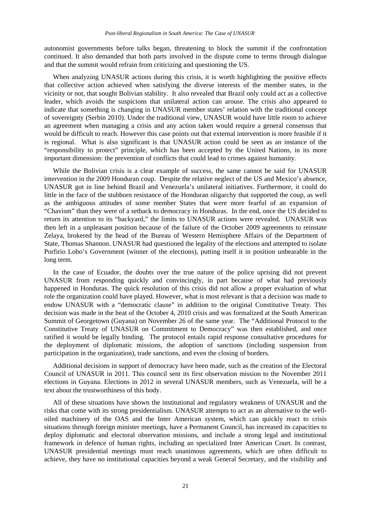autonomist governments before talks began, threatening to block the summit if the confrontation continued. It also demanded that both parts involved in the dispute come to terms through dialogue and that the summit would refrain from criticizing and questioning the US.

When analyzing UNASUR actions during this crisis, it is worth highlighting the positive effects that collective action achieved when satisfying the diverse interests of the member states, in the vicinity or not, that sought Bolivian stability. It also revealed that Brazil only could act as a collective leader, which avoids the suspicions that unilateral action can arouse. The crisis also appeared to indicate that something is changing in UNASUR member states' relation with the traditional concept of sovereignty (Serbin 2010). Under the traditional view, UNASUR would have little room to achieve an agreement when managing a crisis and any action taken would require a general consensus that would be difficult to reach. However this case points out that external intervention is more feasible if it is regional. What is also significant is that UNASUR action could be seen as an instance of the "responsibility to protect" principle, which has been accepted by the United Nations, in its more important dimension: the prevention of conflicts that could lead to crimes against humanity.

While the Bolivian crisis is a clear example of success, the same cannot be said for UNASUR intervention in the 2009 Honduran coup. Despite the relative neglect of the US and Mexico's absence, UNASUR got in line behind Brazil and Venezuela's unilateral initiatives. Furthermore, it could do little in the face of the stubborn resistance of the Honduran oligarchy that supported the coup, as well as the ambiguous attitudes of some member States that were more fearful of an expansion of "Chavism" than they were of a setback to democracy in Honduras. In the end, once the US decided to return its attention to its "backyard," the limits to UNASUR actions were revealed. UNASUR was then left in a unpleasant position because of the failure of the October 2009 agreements to reinstate Zelaya, brokered by the head of the Bureau of Western Hemisphere Affairs of the Department of State, Thomas Shannon. UNASUR had questioned the legality of the elections and attempted to isolate Porfirio Lobo's Government (winner of the elections), putting itself it in position unbearable in the long term.

In the case of Ecuador, the doubts over the true nature of the police uprising did not prevent UNASUR from responding quickly and convincingly, in part because of what had previously happened in Honduras. The quick resolution of this crisis did not allow a proper evaluation of what role the organization could have played. However, what is most relevant is that a decision was made to endow UNASUR with a "democratic clause" in addition to the original Constitutive Treaty. This decision was made in the heat of the October 4, 2010 crisis and was formalized at the South American Summit of Georgetown (Guyana) on November 26 of the same year. The "Additional Protocol to the Constitutive Treaty of UNASUR on Commitment to Democracy" was then established, and once ratified it would be legally binding. The protocol entails rapid response consultative procedures for the deployment of diplomatic missions, the adoption of sanctions (including suspension from participation in the organization), trade sanctions, and even the closing of borders.

Additional decisions in support of democracy have been made, such as the creation of the Electoral Council of UNASUR in 2011. This council sent its first observation mission to the November 2011 elections in Guyana. Elections in 2012 in several UNASUR members, such as Venezuela, will be a text about the trustworthiness of this body.

All of these situations have shown the institutional and regulatory weakness of UNASUR and the risks that come with its strong presidentialism. UNASUR attempts to act as an alternative to the welloiled machinery of the OAS and the Inter American system, which can quickly react to crisis situations through foreign minister meetings, have a Permanent Council, has increased its capacities to deploy diplomatic and electoral observation missions, and include a strong legal and institutional framework in defence of human rights, including an specialized Inter American Court. In contrast, UNASUR presidential meetings must reach unanimous agreements, which are often difficult to achieve, they have no institutional capacities beyond a weak General Secretary, and the visibility and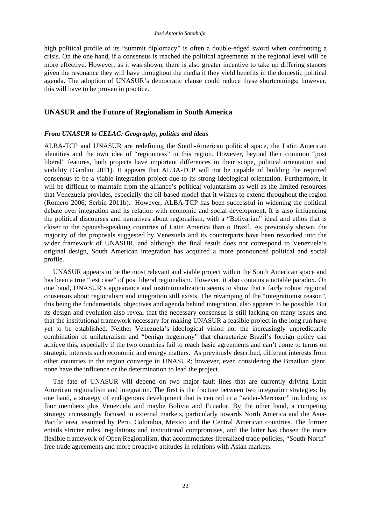high political profile of its "summit diplomacy" is often a double-edged sword when confronting a crisis. On the one hand, if a consensus is reached the political agreements at the regional level will be more effective. However, as it was shown, there is also greater incentive to take up differing stances given the resonance they will have throughout the media if they yield benefits in the domestic political agenda. The adoption of UNASUR's democratic clause could reduce these shortcomings; however, this will have to be proven in practice.

### **UNASUR and the Future of Regionalism in South America**

#### *From UNASUR to CELAC: Geography, politics and ideas*

ALBA-TCP and UNASUR are redefining the South-American political space, the Latin American identities and the own idea of "regionness" in this region. However, beyond their common "post liberal" features, both projects have important differences in their scope, political orientation and viability (Gardini 2011). It appears that ALBA-TCP will not be capable of building the required consensus to be a viable integration project due to its strong ideological orientation. Furthermore, it will be difficult to maintain from the alliance's political voluntarism as well as the limited resources that Venezuela provides, especially the oil-based model that it wishes to extend throughout the region (Romero 2006; Serbin 2011b). However, ALBA-TCP has been successful in widening the political debate over integration and its relation with economic and social development. It is also influencing the political discourses and narratives about regionalism, with a "Bolivarian" ideal and ethos that is closer to the Spanish-speaking countries of Latin America than o Brazil. As previously shown, the majority of the proposals suggested by Venezuela and its counterparts have been reworked into the wider framework of UNASUR, and although the final result does not correspond to Venezuela's original design, South American integration has acquired a more pronounced political and social profile.

UNASUR appears to be the most relevant and viable project within the South American space and has been a true "test case" of post liberal regionalism. However, it also contains a notable paradox. On one hand, UNASUR's appearance and institutionalization seems to show that a fairly robust regional consensus about regionalism and integration still exists. The revamping of the "integrationist reason", this being the fundamentals, objectives and agenda behind integration, also appears to be possible. But its design and evolution also reveal that the necessary consensus is still lacking on many issues and that the institutional framework necessary for making UNASUR a feasible project in the long run have yet to be established. Neither Venezuela's ideological vision nor the increasingly unpredictable combination of unilateralism and "benign hegemony" that characterize Brazil's foreign policy can achieve this, especially if the two countries fail to reach basic agreements and can't come to terms on strategic interests such economic and energy matters. As previously described, different interests from other countries in the region converge in UNASUR; however, even considering the Brazilian giant, none have the influence or the determination to lead the project.

The fate of UNASUR will depend on two major fault lines that are currently driving Latin American regionalism and integration. The first is the fracture between two integration strategies: by one hand, a strategy of endogenous development that is centred in a "wider-Mercosur" including its four members plus Venezuela and maybe Bolivia and Ecuador. By the other hand, a competing strategy increasingly focused in external markets, particularly towards North America and the Asia-Pacific area, assumed by Peru, Colombia, Mexico and the Central American countries. The former entails stricter rules, regulations and institutional compromises, and the latter has chosen the more flexible framework of Open Regionalism, that accommodates liberalized trade policies, "South-North" free trade agreements and more proactive attitudes in relations with Asian markets.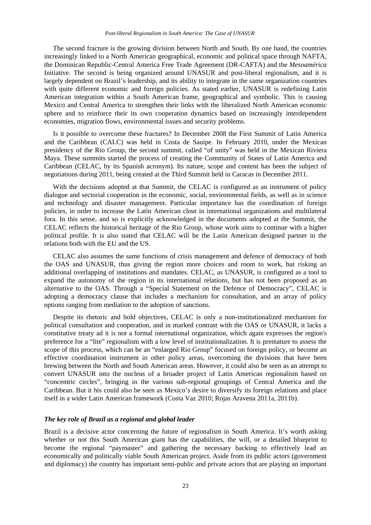The second fracture is the growing division between North and South. By one hand, the countries increasingly linked to a North American geographical, economic and political space through NAFTA, the Dominican Republic-Central America Free Trade Agreement (DR-CAFTA) and the *Mesoamérica* Initiative. The second is being organized around UNASUR and post-liberal regionalism, and it is largely dependent on Brazil's leadership, and its ability to integrate in the same organization countries with quite different economic and foreign policies. As stated earlier, UNASUR is redefining Latin American integration within a South American frame, geographical and symbolic. This is causing Mexico and Central America to strengthen their links with the liberalized North American economic sphere and to reinforce their its own cooperation dynamics based on increasingly interdependent economies, migration flows, environmental issues and security problems.

Is it possible to overcome these fractures? In December 2008 the First Summit of Latin America and the Caribbean (CALC) was held in Costa de Sauipe. In February 2010, under the Mexican presidency of the Rio Group, the second summit, called "of unity" was held in the Mexican Riviera Maya. These summits started the process of creating the Community of States of Latin America and Caribbean (CELAC, by its Spanish acronym). Its nature, scope and content has been the subject of negotiations during 2011, being created at the Third Summit held in Caracas in December 2011.

With the decisions adopted at that Summit, the CELAC is configured as an instrument of policy dialogue and sectorial cooperation in the economic, social, environmental fields, as well as in science and technology and disaster management. Particular importance has the coordination of foreign policies, in order to increase the Latin American clout in international organizations and multilateral fora. In this sense, and so is explicitly acknowledged in the documents adopted at the Summit, the CELAC reflects the historical heritage of the Rio Group, whose work aims to continue with a higher political profile. It is also stated that CELAC will be the Latin American designed partner in the relations both with the EU and the US.

CELAC also assumes the same functions of crisis management and defence of democracy of both the OAS and UNASUR, thus giving the region more choices and room to work, but risking an additional overlapping of institutions and mandates. CELAC, as UNASUR, is configured as a tool to expand the autonomy of the region in its international relations, but has not been proposed as an alternative to the OAS. Through a "Special Statement on the Defence of Democracy", CELAC is adopting a democracy clause that includes a mechanism for consultation, and an array of policy options ranging from mediation to the adoption of sanctions.

Despite its rhetoric and bold objectives, CELAC is only a non-institutionalized mechanism for political consultation and cooperation, and in marked contrast with the OAS or UNASUR, it lacks a constitutive treaty ad it is not a formal international organization, which again expresses the region's preference for a "lite" regionalism with a low level of institutionalization. It is premature to assess the scope of this process, which can be an "enlarged Rio Group" focused on foreign policy, or become an effective coordination instrument in other policy areas, overcoming the divisions that have been brewing between the North and South American areas. However, it could also be seen as an attempt to convert UNASUR into the nucleus of a broader project of Latin American regionalism based on "concentric circles", bringing in the various sub-regional groupings of Central America and the Caribbean. But it his could also be seen as Mexico's desire to diversify its foreign relations and place itself in a wider Latin American framework (Costa Vaz 2010; Rojas Aravena 2011a, 2011b).

# *The key role of Brazil as a regional and global leader*

Brazil is a decisive actor concerning the future of regionalism in South America. It's worth asking whether or not this South American giant has the capabilities, the will, or a detailed blueprint to become the regional "paymaster" and gathering the necessary backing to effectively lead an economically and politically viable South American project. Aside from its public actors (government and diplomacy) the country has important semi-public and private actors that are playing an important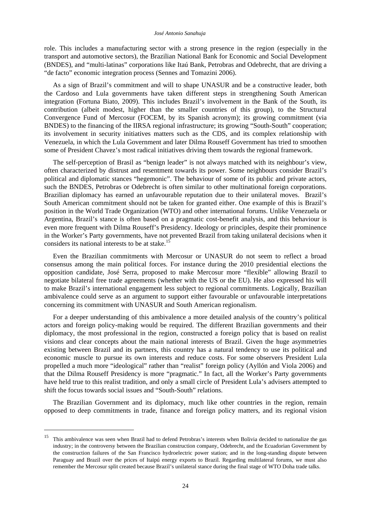role. This includes a manufacturing sector with a strong presence in the region (especially in the transport and automotive sectors), the Brazilian National Bank for Economic and Social Development (BNDES), and "multi-latinas" corporations like Itaú Bank, Petrobras and Odebrecht, that are driving a "de facto" economic integration process (Sennes and Tomazini 2006).

As a sign of Brazil's commitment and will to shape UNASUR and be a constructive leader, both the Cardoso and Lula governments have taken different steps in strengthening South American integration (Fortuna Biato, 2009). This includes Brazil's involvement in the Bank of the South, its contribution (albeit modest, higher than the smaller countries of this group), to the Structural Convergence Fund of Mercosur (FOCEM, by its Spanish acronym); its growing commitment (via BNDES) to the financing of the IIRSA regional infrastructure; its growing "South-South" cooperation; its involvement in security initiatives matters such as the CDS, and its complex relationship with Venezuela, in which the Lula Government and later Dilma Rouseff Government has tried to smoothen some of President Chavez's most radical initiatives driving them towards the regional framework.

The self-perception of Brasil as "benign leader" is not always matched with its neighbour's view, often characterized by distrust and resentment towards its power. Some neighbours consider Brazil's political and diplomatic stances "hegemonic". The behaviour of some of its public and private actors, such the BNDES, Petrobras or Odebrecht is often similar to other multinational foreign corporations. Brazilian diplomacy has earned an unfavourable reputation due to their unilateral moves. Brazil's South American commitment should not be taken for granted either. One example of this is Brazil's position in the World Trade Organization (WTO) and other international forums. Unlike Venezuela or Argentina, Brazil's stance is often based on a pragmatic cost-benefit analysis, and this behaviour is even more frequent with Dilma Rouseff's Presidency. Ideology or principles, despite their prominence in the Worker's Party governments, have not prevented Brazil from taking unilateral decisions when it considers its national interests to be at stake.<sup>1</sup>

Even the Brazilian commitments with Mercosur or UNASUR do not seem to reflect a broad consensus among the main political forces. For instance during the 2010 presidential elections the opposition candidate, José Serra, proposed to make Mercosur more "flexible" allowing Brazil to negotiate bilateral free trade agreements (whether with the US or the EU). He also expressed his will to make Brazil's international engagement less subject to regional commitments. Logically, Brazilian ambivalence could serve as an argument to support either favourable or unfavourable interpretations concerning its commitment with UNASUR and South American regionalism.

For a deeper understanding of this ambivalence a more detailed analysis of the country's political actors and foreign policy-making would be required. The different Brazilian governments and their diplomacy, the most professional in the region, constructed a foreign policy that is based on realist visions and clear concepts about the main national interests of Brazil. Given the huge asymmetries existing between Brazil and its partners, this country has a natural tendency to use its political and economic muscle to pursue its own interests and reduce costs. For some observers President Lula propelled a much more "ideological" rather than "realist" foreign policy (Ayllón and Viola 2006) and that the Dilma Rouseff Presidency is more "pragmatic." In fact, all the Worker's Party governments have held true to this realist tradition, and only a small circle of President Lula's advisers attempted to shift the focus towards social issues and "South-South" relations.

The Brazilian Government and its diplomacy, much like other countries in the region, remain opposed to deep commitments in trade, finance and foreign policy matters, and its regional vision

-

<sup>&</sup>lt;sup>15</sup> This ambivalence was seen when Brazil had to defend Petrobras's interests when Bolivia decided to nationalize the gas industry; in the controversy between the Brazilian construction company, Odebrecht, and the Ecuadorian Government by the construction failures of the San Francisco hydroelectric power station; and in the long-standing dispute between Paraguay and Brazil over the prices of Itaipú energy exports to Brazil. Regarding multilateral forums, we must also remember the Mercosur split created because Brazil's unilateral stance during the final stage of WTO Doha trade talks.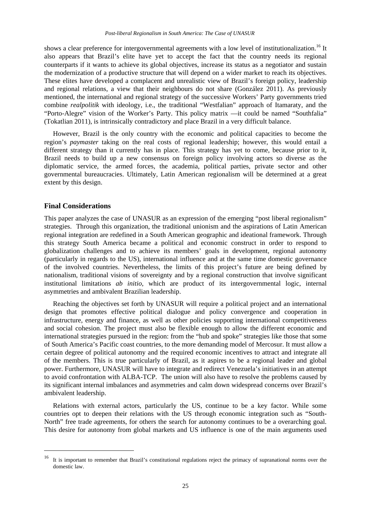shows a clear preference for intergovernmental agreements with a low level of institutionalization.<sup>16</sup> It also appears that Brazil's elite have yet to accept the fact that the country needs its regional counterparts if it wants to achieve its global objectives, increase its status as a negotiator and sustain the modernization of a productive structure that will depend on a wider market to reach its objectives. These elites have developed a complacent and unrealistic view of Brazil's foreign policy, leadership and regional relations, a view that their neighbours do not share (González 2011). As previously mentioned, the international and regional strategy of the successive Workers' Party governments tried combine *realpolitik* with ideology, i.e., the traditional "Westfalian" approach of Itamaraty, and the "Porto-Alegre" vision of the Worker's Party. This policy matrix —it could be named "Southfalia" (Tokatlian 2011), is intrinsically contradictory and place Brazil in a very difficult balance.

However, Brazil is the only country with the economic and political capacities to become the region's *paymaster* taking on the real costs of regional leadership; however, this would entail a different strategy than it currently has in place. This strategy has yet to come, because prior to it, Brazil needs to build up a new consensus on foreign policy involving actors so diverse as the diplomatic service, the armed forces, the academia, political parties, private sector and other governmental bureaucracies. Ultimately, Latin American regionalism will be determined at a great extent by this design.

#### **Final Considerations**

-

This paper analyzes the case of UNASUR as an expression of the emerging "post liberal regionalism" strategies. Through this organization, the traditional unionism and the aspirations of Latin American regional integration are redefined in a South American geographic and ideational framework. Through this strategy South America became a political and economic construct in order to respond to globalization challenges and to achieve its members' goals in development, regional autonomy (particularly in regards to the US), international influence and at the same time domestic governance of the involved countries. Nevertheless, the limits of this project's future are being defined by nationalism, traditional visions of sovereignty and by a regional construction that involve significant institutional limitations *ab initio*, which are product of its intergovernmental logic, internal asymmetries and ambivalent Brazilian leadership.

Reaching the objectives set forth by UNASUR will require a political project and an international design that promotes effective political dialogue and policy convergence and cooperation in infrastructure, energy and finance, as well as other policies supporting international competitiveness and social cohesion. The project must also be flexible enough to allow the different economic and international strategies pursued in the region: from the "hub and spoke" strategies like those that some of South America's Pacific coast countries, to the more demanding model of Mercosur. It must allow a certain degree of political autonomy and the required economic incentives to attract and integrate all of the members. This is true particularly of Brazil, as it aspires to be a regional leader and global power. Furthermore, UNASUR will have to integrate and redirect Venezuela's initiatives in an attempt to avoid confrontation with ALBA-TCP. The union will also have to resolve the problems caused by its significant internal imbalances and asymmetries and calm down widespread concerns over Brazil's ambivalent leadership.

Relations with external actors, particularly the US, continue to be a key factor. While some countries opt to deepen their relations with the US through economic integration such as "South-North" free trade agreements, for others the search for autonomy continues to be a overarching goal. This desire for autonomy from global markets and US influence is one of the main arguments used

<sup>16</sup> It is important to remember that Brazil's constitutional regulations reject the primacy of supranational norms over the domestic law.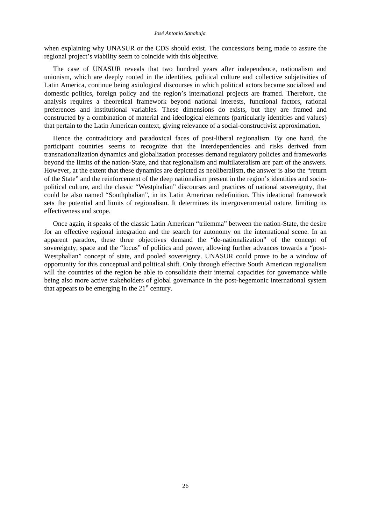when explaining why UNASUR or the CDS should exist. The concessions being made to assure the regional project's viability seem to coincide with this objective.

The case of UNASUR reveals that two hundred years after independence, nationalism and unionism, which are deeply rooted in the identities, political culture and collective subjetivities of Latin America, continue being axiological discourses in which political actors became socialized and domestic politics, foreign policy and the region's international projects are framed. Therefore, the analysis requires a theoretical framework beyond national interests, functional factors, rational preferences and institutional variables. These dimensions do exists, but they are framed and constructed by a combination of material and ideological elements (particularly identities and values) that pertain to the Latin American context, giving relevance of a social-constructivist approximation.

Hence the contradictory and paradoxical faces of post-liberal regionalism. By one hand, the participant countries seems to recognize that the interdependencies and risks derived from transnationalization dynamics and globalization processes demand regulatory policies and frameworks beyond the limits of the nation-State, and that regionalism and multilateralism are part of the answers. However, at the extent that these dynamics are depicted as neoliberalism, the answer is also the "return of the State" and the reinforcement of the deep nationalism present in the region's identities and sociopolitical culture, and the classic "Westphalian" discourses and practices of national sovereignty, that could be also named "Southphalian", in its Latin American redefinition. This ideational framework sets the potential and limits of regionalism. It determines its intergovernmental nature, limiting its effectiveness and scope.

Once again, it speaks of the classic Latin American "trilemma" between the nation-State, the desire for an effective regional integration and the search for autonomy on the international scene. In an apparent paradox, these three objectives demand the "de-nationalization" of the concept of sovereignty, space and the "locus" of politics and power, allowing further advances towards a "post-Westphalian" concept of state, and pooled sovereignty. UNASUR could prove to be a window of opportunity for this conceptual and political shift. Only through effective South American regionalism will the countries of the region be able to consolidate their internal capacities for governance while being also more active stakeholders of global governance in the post-hegemonic international system that appears to be emerging in the  $21<sup>st</sup>$  century.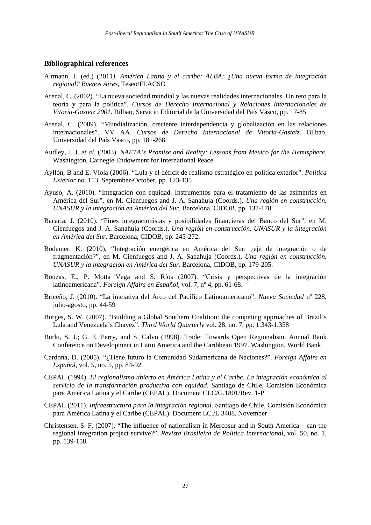### **Bibliographical references**

- Altmann, J. (ed.) (2011*). América Latina y el caribe: ALBA: ¿Una nueva forma de integración regional? Buenos Aires,* Teseo/FLACSO
- Arenal, C. (2002). "La nueva sociedad mundial y las nuevas realidades internacionales. Un reto para la teoría y para la política". *Cursos de Derecho Internacional y Relaciones Internacionales de Vitoria-Gasteiz 2001.* Bilbao, Servicio Editorial de la Universidad del País Vasco, pp. 17-85
- Arenal, C. (2009). "Mundialización, creciente interdependencia y globalización en las relaciones internacionales". VV AA. *Cursos de Derecho Internacional de Vitoria-Gasteiz*. Bilbao, Universidad del País Vasco, pp. 181-268
- Audley, J. J. *et al.* (2003). *NAFTA's Promise and Reality: Lessons from Mexico for the Hemisphere*, Washington, Carnegie Endowment for International Peace
- Ayllón, B and E. Viola (2006). "Lula y el déficit de realismo estratégico en política exterior". *Política Exterior* no. 113, September-October, pp. 123-135
- Ayuso, A. (2010). "Integración con equidad. Instrumentos para el tratamiento de las asimetrías en América del Sur", en M. Cienfuegos and J. A. Sanahuja (Coords.), *Una región en construcción. UNASUR y la integración en América del Sur*. Barcelona, CIDOB, pp. 137-178
- Bacaria, J. (2010). "Fines integracionistas y posibilidades financieras del Banco del Sur", en M. Cienfuegos and J. A. Sanahuja (Coords.), *Una región en construcción. UNASUR y la integración en América del Sur*. Barcelona, CIDOB, pp. 245-272.
- Bodemer, K. (2010), "Integración energética en América del Sur: ¿eje de integración o de fragmentación?", en M. Cienfuegos and J. A. Sanahuja (Coords.), *Una región en construcción. UNASUR y la integración en América del Sur*. Barcelona, CIDOB, pp. 179-205.
- Bouzas, E., P. Motta Vega and S. Ríos (2007). "Crisis y perspectivas de la integración latinoamericana". *Foreign Affairs en Español*, vol. 7, nº 4, pp. 61-68.
- Briceño, J. (2010). "La iniciativa del Arco del Pacífico Latinoamericano". *Nueva Sociedad* nº 228, julio-agosto, pp. 44-59
- Burges, S. W. (2007). "Building a Global Southern Coalition: the competing approaches of Brazil's Lula and Venezuela's Chavez". *Third World Quarterly* vol. 28, no. 7, pp. 1.343-1.358
- Burki, S. J.; G. E. Perry, and S. Calvo (1998). Trade: Towards Open Regionalism. Annual Bank Conference on Development in Latin America and the Caribbean 1997. Washington, World Bank
- Cardona, D. (2005). "¿Tiene futuro la Comunidad Sudamericana de Naciones?". *Foreign Affairs en Español*, vol. 5, no. 5, pp. 84-92
- CEPAL (1994). *El regionalismo abierto en América Latina y el Caribe. La integración económica al servicio de la transformación productiva con equidad*. Santiago de Chile, Comisión Económica para América Latina y el Caribe (CEPAL). Document CLC/G.1801/Rev. 1-P
- CEPAL (2011). *Infraestructura para la integración regional*. Santiago de Chile, Comisión Económica para América Latina y el Caribe (CEPAL). Document LC./L 3408, November
- Christensen, S. F. (2007). "The influence of nationalism in Mercosur and in South America can the regional integration project survive?". *Revista Brasileira de Politica Internacional*, vol. 50, no. 1, pp. 139-158.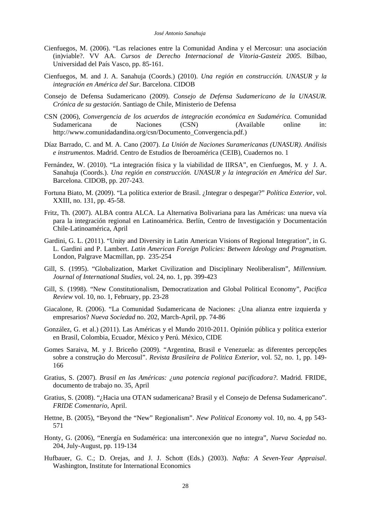- Cienfuegos, M. (2006). "Las relaciones entre la Comunidad Andina y el Mercosur: una asociación (in)viable?. VV AA. *Cursos de Derecho Internacional de Vitoria-Gasteiz 2005*. Bilbao, Universidad del País Vasco, pp. 85-161.
- Cienfuegos, M. and J. A. Sanahuja (Coords.) (2010). *Una región en construcción. UNASUR y la integración en América del Sur*. Barcelona. CIDOB
- Consejo de Defensa Sudamericano (2009). *Consejo de Defensa Sudamericano de la UNASUR. Crónica de su gestación*. Santiago de Chile, Ministerio de Defensa
- CSN (2006), *Convergencia de los acuerdos de integración económica en Sudamérica.* Comunidad Sudamericana de Naciones (CSN) (Available online in: [http://www.comunidadandina.org/csn/Documento\\_Convergencia.pdf.\)](http://www.comunidadandina.org/csn/Documento_Convergencia.pdf)
- Díaz Barrado, C. and M. A. Cano (2007). *La Unión de Naciones Suramericanas (UNASUR). Análisis e instrumentos*. Madrid. Centro de Estudios de Iberoamérica (CEIB), Cuadernos no. 1
- Fernández, W. (2010). "La integración física y la viabilidad de IIRSA", en Cienfuegos, M. y J. A. Sanahuja (Coords.). *Una región en construcción. UNASUR y la integración en América del Sur*. Barcelona. CIDOB, pp. 207-243.
- Fortuna Biato, M. (2009). "La política exterior de Brasil. ¿Integrar o despegar?" *Política Exterior,* vol. XXIII, no. 131, pp. 45-58.
- Fritz, Th. (2007). ALBA contra ALCA. La Alternativa Bolivariana para las Américas: una nueva vía para la integración regional en Latinoamérica. Berlín, Centro de Investigación y Documentación Chile-Latinoamérica, April
- Gardini, G. L. (2011). "Unity and Diversity in Latin American Visions of Regional Integration", in G. L. Gardini and P. Lambert. *Latin American Foreign Policies: Between Ideology and Pragmatism*. London, Palgrave Macmillan, pp. 235-254
- Gill, S. (1995). "Globalization, Market Civilization and Disciplinary Neoliberalism", *Millennium. Journal of International Studies*, vol. 24, no. 1, pp. 399-423
- Gill, S. (1998). "New Constitutionalism, Democratization and Global Political Economy", *Pacifica Review* vol. 10, no. 1, February, pp. 23-28
- Giacalone, R. (2006). "La Comunidad Sudamericana de Naciones: ¿Una alianza entre izquierda y empresarios? *Nueva Sociedad* no. 202, March-April, pp. 74-86
- González, G. et al.) (2011). Las Américas y el Mundo 2010-2011. Opinión pública y política exterior en Brasil, Colombia, Ecuador, México y Perú. México, CIDE
- Gomes Saraiva, M. y J. Briceño (2009). "Argentina, Brasil e Venezuela: as diferentes percepções sobre a construção do Mercosul". *Revista Brasileira de Politica Exterior*, vol. 52, no. 1, pp. 149- 166
- Gratius, S. (2007). *Brasil en las Américas: ¿una potencia regional pacificadora?*. Madrid. FRIDE, documento de trabajo no. 35, April
- Gratius, S. (2008). "¿Hacia una OTAN sudamericana? Brasil y el Consejo de Defensa Sudamericano". *FRIDE Comentario*, April.
- Hettne, B. (2005), "Beyond the "New" Regionalism". *New Political Economy* vol. 10, no. 4, pp 543- 571
- Honty, G. (2006), "Energía en Sudamérica: una interconexión que no integra", *Nueva Sociedad* no. 204, July-August, pp. 119-134
- Hufbauer, G. C.; D. Orejas, and J. J. Schott (Eds.) (2003). *Nafta: A Seven-Year Appraisal*. Washington, Institute for International Economics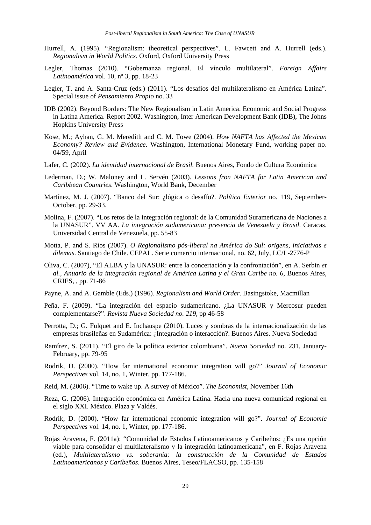- Hurrell, A. (1995). "Regionalism: theoretical perspectives". L. Fawcett and A. Hurrell (eds.). *Regionalism in World Politics.* Oxford, Oxford University Press
- Legler, Thomas (2010). "Gobernanza regional. El vínculo multilateral". *Foreign Affairs Latinoamérica* vol. 10, nº 3, pp. 18-23
- Legler, T. and A. Santa-Cruz (eds.) (2011). "Los desafíos del multilateralismo en América Latina". Special issue of *Pensamiento Propio* no. 33
- IDB (2002). Beyond Borders: The New Regionalism in Latin America. Economic and Social Progress in Latina America. Report 2002. Washington, Inter American Development Bank (IDB), The Johns Hopkins University Press
- Kose, M.; Ayhan, G. M. Meredith and C. M. Towe (2004). *How NAFTA has Affected the Mexican Economy? Review and Evidence*. Washington, International Monetary Fund, working paper no. 04/59, April
- Lafer, C. (2002). *La identidad internacional de Brasil.* Buenos Aires, Fondo de Cultura Económica
- Lederman, D.; W. Maloney and L. Servén (2003). *Lessons fron NAFTA for Latin American and Caribbean Countries*. Washington, World Bank, December
- Martínez, M. J. (2007). "Banco del Sur: ¿lógica o desafío?. *Política Exterior* no. 119, September-October, pp. 29-33.
- Molina, F. (2007). "Los retos de la integración regional: de la Comunidad Suramericana de Naciones a la UNASUR". VV AA. *La integración sudamericana: presencia de Venezuela y Brasil*. Caracas. Universidad Central de Venezuela, pp. 55-83
- Motta, P. and S. Ríos (2007). *O Regionalismo pós-liberal na América do Sul: origens, iniciativas e dilemas*. Santiago de Chile. CEPAL. Serie comercio internacional, no. 62, July, LC/L-2776-P
- Oliva, C. (2007), "El ALBA y la UNASUR: entre la concertación y la confrontación", en A. Serbin *et al.*, *Anuario de la integración regional de América Latina y el Gran Caribe no. 6*, Buenos Aires, CRIES, , pp. 71-86
- Payne, A. and A. Gamble (Eds.) (1996). *Regionalism and World Order*. Basingstoke, Macmillan
- Peña, F. (2009). "La integración del espacio sudamericano. ¿La UNASUR y Mercosur pueden complementarse?". *Revista Nueva Sociedad no. 219*, pp 46-58
- Perrotta, D.; G. Fulquet and E. Inchauspe (2010). Luces y sombras de la internacionalización de las empresas brasileñas en Sudamérica: ¿Integración o interacción?. Buenos Aires. Nueva Sociedad
- Ramírez, S. (2011). "El giro de la política exterior colombiana". *Nueva Sociedad* no. 231, January-February, pp. 79-95
- Rodrik, D. (2000). "How far international economic integration will go?" *Journal of Economic Perspectives* vol. 14, no. 1, Winter, pp. 177-186.
- Reid, M. (2006). "Time to wake up. A survey of México". *The Economist*, November 16th
- Reza, G. (2006). Integración económica en América Latina. Hacia una nueva comunidad regional en el siglo XXI. México. Plaza y Valdés.
- Rodrik, D. (2000). "How far international economic integration will go?". *Journal of Economic Perspectives* vol. 14, no. 1, Winter, pp. 177-186.
- Rojas Aravena, F. (2011a): "Comunidad de Estados Latinoamericanos y Caribeños: ¿Es una opción viable para consolidar el multilateralismo y la integración latinoamericana", en F. Rojas Aravena (ed.), *Multilateralismo vs. soberanía: la construcción de la Comunidad de Estados Latinoamericanos y Caribeños*. Buenos Aires, Teseo/FLACSO, pp. 135-158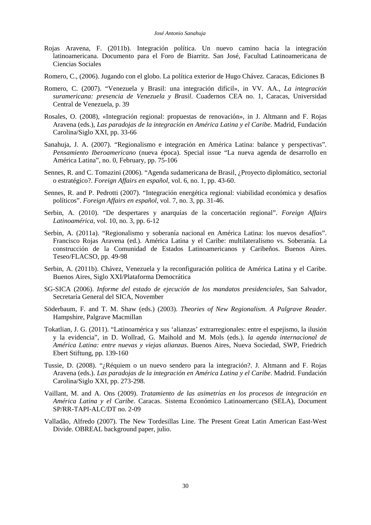- Rojas Aravena, F. (2011b). Integración política. Un nuevo camino hacia la integración latinoamericana. Documento para el Foro de Biarritz. San José, Facultad Latinoamericana de Ciencias Sociales
- Romero, C., (2006). Jugando con el globo. La política exterior de Hugo Chávez. Caracas, Ediciones B
- Romero, C. (2007). "Venezuela y Brasil: una integración difícil», in VV. AA., *La integración suramericana: presencia de Venezuela y Brasil*. Cuadernos CEA no. 1, Caracas, Universidad Central de Venezuela, p. 39
- Rosales, O. (2008), «Integración regional: propuestas de renovación», in J. Altmann and F. Rojas Aravena (eds.), *Las paradojas de la integración en América Latina y el Caribe*. Madrid, Fundación Carolina/Siglo XXI, pp. 33-66
- Sanahuja, J. A. (2007). "Regionalismo e integración en América Latina: balance y perspectivas". *Pensamiento Iberoamericano* (nueva época). Special issue "La nueva agenda de desarrollo en América Latina", no. 0, February, pp. 75-106
- Sennes, R. and C. Tomazini (2006). "Agenda sudamericana de Brasil, ¿Proyecto diplomático, sectorial o estratégico?. *Foreign Affairs en español,* vol. 6, no. 1, pp. 43-60.
- Sennes, R. and P. Pedrotti (2007). "Integración energética regional: viabilidad económica y desafíos políticos". *Foreign Affairs en español*, vol. 7, no. 3, pp. 31-46.
- Serbin, A. (2010). "De despertares y anarquías de la concertación regional". *Foreign Affairs Latinoamérica*, vol. 10, no. 3, pp. 6-12
- Serbin, A. (2011a). "Regionalismo y soberanía nacional en América Latina: los nuevos desafíos". Francisco Rojas Aravena (ed.). América Latina y el Caribe: multilateralismo vs. Soberanía. La construcción de la Comunidad de Estados Latinoamericanos y Caribeños. Buenos Aires. Teseo/FLACSO, pp. 49-98
- Serbin, A. (2011b). Chávez, Venezuela y la reconfiguración política de América Latina y el Caribe. Buenos Aires, Siglo XXI/Plataforma Democrática
- SG-SICA (2006). *Informe del estado de ejecución de los mandatos presidenciales*, San Salvador, Secretaría General del SICA, November
- Söderbaum, F. and T. M. Shaw (eds.) (2003). *Theories of New Regionalism. A Palgrave Reader*. Hampshire, Palgrave Macmillan
- Tokatlian, J. G. (2011). "Latinoamérica y sus 'alianzas' extrarregionales: entre el espejismo, la ilusión y la evidencia", in D. Wollrad, G. Maihold and M. Mols (eds.). *la agenda internacional de América Latina: entre nuevas y viejas alianzas*. Buenos Aires, Nueva Sociedad, SWP, Friedrich Ebert Stiftung, pp. 139-160
- Tussie, D. (2008). "¿Réquiem o un nuevo sendero para la integración?. J. Altmann and F. Rojas Aravena (eds.). *Las paradojas de la integración en América Latina y el Caribe*. Madrid. Fundación Carolina/Siglo XXI, pp. 273-298.
- Vaillant, M. and A. Ons (2009). *Tratamiento de las asimetrías en los procesos de integración en América Latina y el Caribe*. Caracas. Sistema Económico Latinoamercano (SELA), Document SP/RR-TAPI-ALC/DT no. 2-09
- Valladão, Alfredo (2007). The New Tordesillas Line. The Present Great Latin American East-West Divide. OBREAL background paper, julio.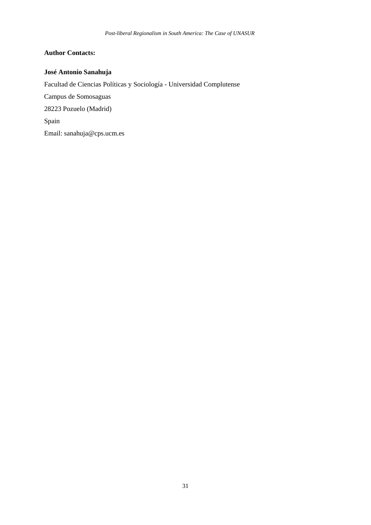# **Author Contacts:**

# **José Antonio Sanahuja**

Facultad de Ciencias Políticas y Sociología - Universidad Complutense Campus de Somosaguas 28223 Pozuelo (Madrid) Spain Email: [sanahuja@cps.ucm.es](mailto:sanahuja@cps.ucm.es)